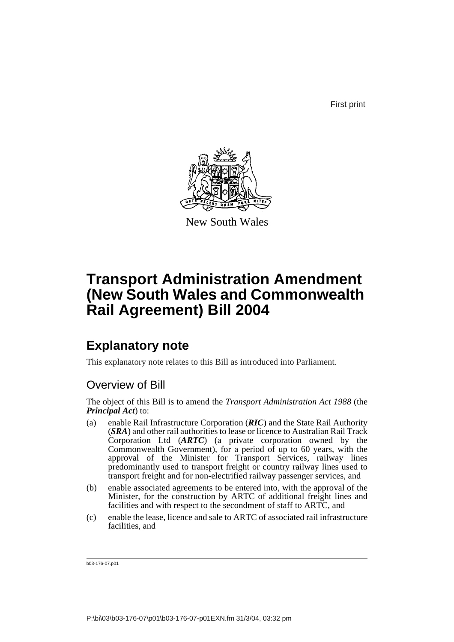First print



New South Wales

# **Transport Administration Amendment (New South Wales and Commonwealth Rail Agreement) Bill 2004**

## **Explanatory note**

This explanatory note relates to this Bill as introduced into Parliament.

## Overview of Bill

The object of this Bill is to amend the *Transport Administration Act 1988* (the *Principal Act*) to:

- (a) enable Rail Infrastructure Corporation (*RIC*) and the State Rail Authority (*SRA*) and other rail authorities to lease or licence to Australian Rail Track Corporation Ltd (*ARTC*) (a private corporation owned by the Commonwealth Government), for a period of up to 60 years, with the approval of the Minister for Transport Services, railway lines predominantly used to transport freight or country railway lines used to transport freight and for non-electrified railway passenger services, and
- (b) enable associated agreements to be entered into, with the approval of the Minister, for the construction by ARTC of additional freight lines and facilities and with respect to the secondment of staff to ARTC, and
- (c) enable the lease, licence and sale to ARTC of associated rail infrastructure facilities, and

b03-176-07.p01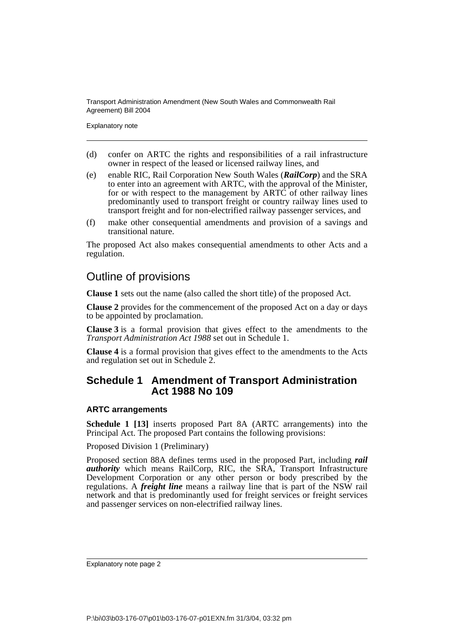Explanatory note

- (d) confer on ARTC the rights and responsibilities of a rail infrastructure owner in respect of the leased or licensed railway lines, and
- (e) enable RIC, Rail Corporation New South Wales (*RailCorp*) and the SRA to enter into an agreement with ARTC, with the approval of the Minister, for or with respect to the management by  $ARTC$  of other railway lines predominantly used to transport freight or country railway lines used to transport freight and for non-electrified railway passenger services, and
- (f) make other consequential amendments and provision of a savings and transitional nature.

The proposed Act also makes consequential amendments to other Acts and a regulation.

## Outline of provisions

**Clause 1** sets out the name (also called the short title) of the proposed Act.

**Clause 2** provides for the commencement of the proposed Act on a day or days to be appointed by proclamation.

**Clause 3** is a formal provision that gives effect to the amendments to the *Transport Administration Act 1988* set out in Schedule 1.

**Clause 4** is a formal provision that gives effect to the amendments to the Acts and regulation set out in Schedule 2.

### **Schedule 1 Amendment of Transport Administration Act 1988 No 109**

#### **ARTC arrangements**

**Schedule 1 [13]** inserts proposed Part 8A (ARTC arrangements) into the Principal Act. The proposed Part contains the following provisions:

Proposed Division 1 (Preliminary)

Proposed section 88A defines terms used in the proposed Part, including *rail authority* which means RailCorp, RIC, the SRA, Transport Infrastructure Development Corporation or any other person or body prescribed by the regulations. A *freight line* means a railway line that is part of the NSW rail network and that is predominantly used for freight services or freight services and passenger services on non-electrified railway lines.

Explanatory note page 2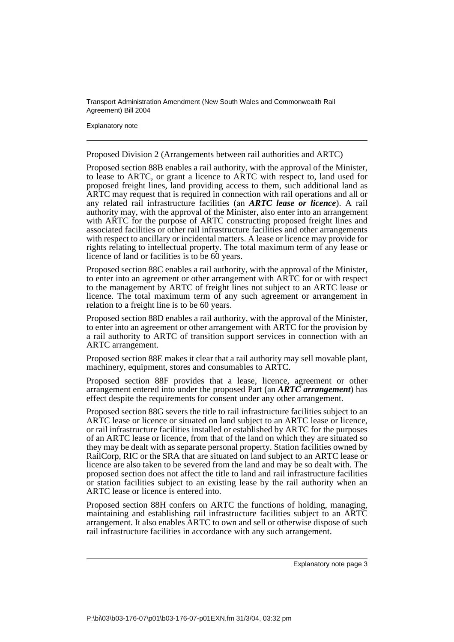Explanatory note

Proposed Division 2 (Arrangements between rail authorities and ARTC)

Proposed section 88B enables a rail authority, with the approval of the Minister, to lease to ARTC, or grant a licence to ARTC with respect to, land used for proposed freight lines, land providing access to them, such additional land as ARTC may request that is required in connection with rail operations and all or any related rail infrastructure facilities (an *ARTC lease or licence*). A rail authority may, with the approval of the Minister, also enter into an arrangement with ARTC for the purpose of ARTC constructing proposed freight lines and associated facilities or other rail infrastructure facilities and other arrangements with respect to ancillary or incidental matters. A lease or licence may provide for rights relating to intellectual property. The total maximum term of any lease or licence of land or facilities is to be 60 years.

Proposed section 88C enables a rail authority, with the approval of the Minister, to enter into an agreement or other arrangement with ARTC for or with respect to the management by ARTC of freight lines not subject to an ARTC lease or licence. The total maximum term of any such agreement or arrangement in relation to a freight line is to be 60 years.

Proposed section 88D enables a rail authority, with the approval of the Minister, to enter into an agreement or other arrangement with ARTC for the provision by a rail authority to ARTC of transition support services in connection with an ARTC arrangement.

Proposed section 88E makes it clear that a rail authority may sell movable plant, machinery, equipment, stores and consumables to ARTC.

Proposed section 88F provides that a lease, licence, agreement or other arrangement entered into under the proposed Part (an *ARTC arrangement*) has effect despite the requirements for consent under any other arrangement.

Proposed section 88G severs the title to rail infrastructure facilities subject to an ARTC lease or licence or situated on land subject to an ARTC lease or licence, or rail infrastructure facilities installed or established by ARTC for the purposes of an ARTC lease or licence, from that of the land on which they are situated so they may be dealt with as separate personal property. Station facilities owned by RailCorp, RIC or the SRA that are situated on land subject to an ARTC lease or licence are also taken to be severed from the land and may be so dealt with. The proposed section does not affect the title to land and rail infrastructure facilities or station facilities subject to an existing lease by the rail authority when an ARTC lease or licence is entered into.

Proposed section 88H confers on ARTC the functions of holding, managing, maintaining and establishing rail infrastructure facilities subject to an ARTC arrangement. It also enables ARTC to own and sell or otherwise dispose of such rail infrastructure facilities in accordance with any such arrangement.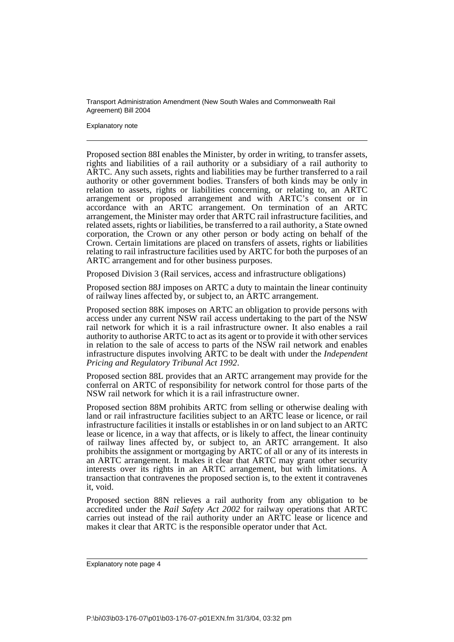Explanatory note

Proposed section 88I enables the Minister, by order in writing, to transfer assets, rights and liabilities of a rail authority or a subsidiary of a rail authority to ARTC. Any such assets, rights and liabilities may be further transferred to a rail authority or other government bodies. Transfers of both kinds may be only in relation to assets, rights or liabilities concerning, or relating to, an ARTC arrangement or proposed arrangement and with ARTC's consent or in accordance with an ARTC arrangement. On termination of an ARTC arrangement, the Minister may order that ARTC rail infrastructure facilities, and related assets, rights or liabilities, be transferred to a rail authority, a State owned corporation, the Crown or any other person or body acting on behalf of the Crown. Certain limitations are placed on transfers of assets, rights or liabilities relating to rail infrastructure facilities used by ARTC for both the purposes of an ARTC arrangement and for other business purposes.

Proposed Division 3 (Rail services, access and infrastructure obligations)

Proposed section 88J imposes on ARTC a duty to maintain the linear continuity of railway lines affected by, or subject to, an ARTC arrangement.

Proposed section 88K imposes on ARTC an obligation to provide persons with access under any current NSW rail access undertaking to the part of the NSW rail network for which it is a rail infrastructure owner. It also enables a rail authority to authorise ARTC to act as its agent or to provide it with other services in relation to the sale of access to parts of the NSW rail network and enables infrastructure disputes involving ARTC to be dealt with under the *Independent Pricing and Regulatory Tribunal Act 1992*.

Proposed section 88L provides that an ARTC arrangement may provide for the conferral on ARTC of responsibility for network control for those parts of the NSW rail network for which it is a rail infrastructure owner.

Proposed section 88M prohibits ARTC from selling or otherwise dealing with land or rail infrastructure facilities subject to an ARTC lease or licence, or rail infrastructure facilities it installs or establishes in or on land subject to an ARTC lease or licence, in a way that affects, or is likely to affect, the linear continuity of railway lines affected by, or subject to, an ARTC arrangement. It also prohibits the assignment or mortgaging by ARTC of all or any of its interests in an ARTC arrangement. It makes it clear that ARTC may grant other security interests over its rights in an ARTC arrangement, but with limitations. A transaction that contravenes the proposed section is, to the extent it contravenes it, void.

Proposed section 88N relieves a rail authority from any obligation to be accredited under the *Rail Safety Act 2002* for railway operations that ARTC carries out instead of the rail authority under an ARTC lease or licence and makes it clear that ARTC is the responsible operator under that Act.

Explanatory note page 4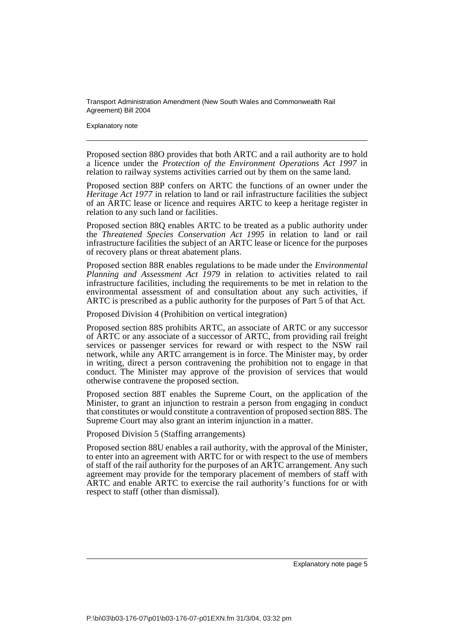Explanatory note

Proposed section 88O provides that both ARTC and a rail authority are to hold a licence under the *Protection of the Environment Operations Act 1997* in relation to railway systems activities carried out by them on the same land.

Proposed section 88P confers on ARTC the functions of an owner under the *Heritage Act 1977* in relation to land or rail infrastructure facilities the subject of an ARTC lease or licence and requires ARTC to keep a heritage register in relation to any such land or facilities.

Proposed section 88Q enables ARTC to be treated as a public authority under the *Threatened Species Conservation Act 1995* in relation to land or rail infrastructure facilities the subject of an ARTC lease or licence for the purposes of recovery plans or threat abatement plans.

Proposed section 88R enables regulations to be made under the *Environmental Planning and Assessment Act 1979* in relation to activities related to rail infrastructure facilities, including the requirements to be met in relation to the environmental assessment of and consultation about any such activities, if ARTC is prescribed as a public authority for the purposes of Part 5 of that Act.

Proposed Division 4 (Prohibition on vertical integration)

Proposed section 88S prohibits ARTC, an associate of ARTC or any successor of ARTC or any associate of a successor of ARTC, from providing rail freight services or passenger services for reward or with respect to the NSW rail network, while any ARTC arrangement is in force. The Minister may, by order in writing, direct a person contravening the prohibition not to engage in that conduct. The Minister may approve of the provision of services that would otherwise contravene the proposed section.

Proposed section 88T enables the Supreme Court, on the application of the Minister, to grant an injunction to restrain a person from engaging in conduct that constitutes or would constitute a contravention of proposed section 88S. The Supreme Court may also grant an interim injunction in a matter.

Proposed Division 5 (Staffing arrangements)

Proposed section 88U enables a rail authority, with the approval of the Minister, to enter into an agreement with ARTC for or with respect to the use of members of staff of the rail authority for the purposes of an ARTC arrangement. Any such agreement may provide for the temporary placement of members of staff with ARTC and enable ARTC to exercise the rail authority's functions for or with respect to staff (other than dismissal).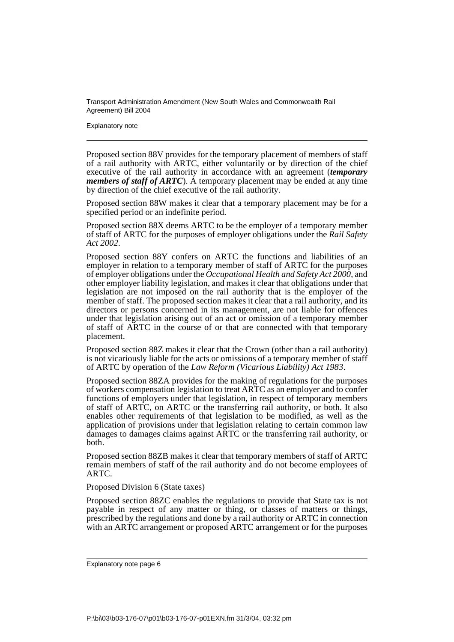Explanatory note

Proposed section 88V provides for the temporary placement of members of staff of a rail authority with ARTC, either voluntarily or by direction of the chief executive of the rail authority in accordance with an agreement (*temporary members of staff of ARTC*). A temporary placement may be ended at any time by direction of the chief executive of the rail authority.

Proposed section 88W makes it clear that a temporary placement may be for a specified period or an indefinite period.

Proposed section 88X deems ARTC to be the employer of a temporary member of staff of ARTC for the purposes of employer obligations under the *Rail Safety Act 2002*.

Proposed section 88Y confers on ARTC the functions and liabilities of an employer in relation to a temporary member of staff of ARTC for the purposes of employer obligations under the *Occupational Health and Safety Act 2000*, and other employer liability legislation, and makes it clear that obligations under that legislation are not imposed on the rail authority that is the employer of the member of staff. The proposed section makes it clear that a rail authority, and its directors or persons concerned in its management, are not liable for offences under that legislation arising out of an act or omission of a temporary member of staff of ARTC in the course of or that are connected with that temporary placement.

Proposed section 88Z makes it clear that the Crown (other than a rail authority) is not vicariously liable for the acts or omissions of a temporary member of staff of ARTC by operation of the *Law Reform (Vicarious Liability) Act 1983*.

Proposed section 88ZA provides for the making of regulations for the purposes of workers compensation legislation to treat ARTC as an employer and to confer functions of employers under that legislation, in respect of temporary members of staff of ARTC, on ARTC or the transferring rail authority, or both. It also enables other requirements of that legislation to be modified, as well as the application of provisions under that legislation relating to certain common law damages to damages claims against ARTC or the transferring rail authority, or both.

Proposed section 88ZB makes it clear that temporary members of staff of ARTC remain members of staff of the rail authority and do not become employees of ARTC.

Proposed Division 6 (State taxes)

Proposed section 88ZC enables the regulations to provide that State tax is not payable in respect of any matter or thing, or classes of matters or things, prescribed by the regulations and done by a rail authority or ARTC in connection with an ARTC arrangement or proposed ARTC arrangement or for the purposes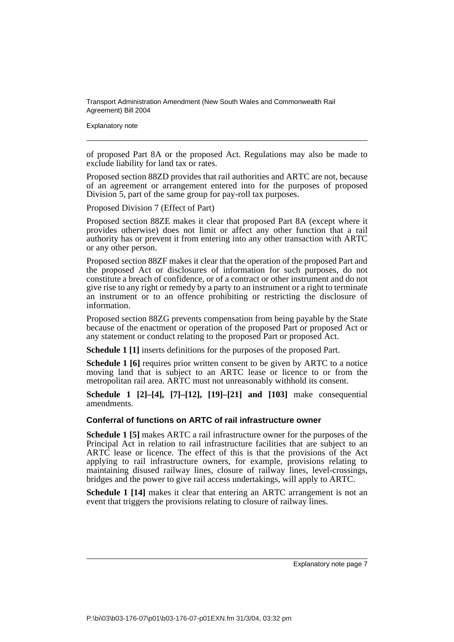Explanatory note

of proposed Part 8A or the proposed Act. Regulations may also be made to exclude liability for land tax or rates.

Proposed section 88ZD provides that rail authorities and ARTC are not, because of an agreement or arrangement entered into for the purposes of proposed Division 5, part of the same group for pay-roll tax purposes.

Proposed Division 7 (Effect of Part)

Proposed section 88ZE makes it clear that proposed Part 8A (except where it provides otherwise) does not limit or affect any other function that a rail authority has or prevent it from entering into any other transaction with ARTC or any other person.

Proposed section 88ZF makes it clear that the operation of the proposed Part and the proposed Act or disclosures of information for such purposes, do not constitute a breach of confidence, or of a contract or other instrument and do not give rise to any right or remedy by a party to an instrument or a right to terminate an instrument or to an offence prohibiting or restricting the disclosure of information.

Proposed section 88ZG prevents compensation from being payable by the State because of the enactment or operation of the proposed Part or proposed Act or any statement or conduct relating to the proposed Part or proposed Act.

**Schedule 1 [1]** inserts definitions for the purposes of the proposed Part.

**Schedule 1 [6]** requires prior written consent to be given by ARTC to a notice moving land that is subject to an ARTC lease or licence to or from the metropolitan rail area. ARTC must not unreasonably withhold its consent.

**Schedule 1 [2]–[4], [7]–[12], [19]–[21] and [103]** make consequential amendments.

#### **Conferral of functions on ARTC of rail infrastructure owner**

**Schedule 1 [5]** makes ARTC a rail infrastructure owner for the purposes of the Principal Act in relation to rail infrastructure facilities that are subject to an ARTC lease or licence. The effect of this is that the provisions of the Act applying to rail infrastructure owners, for example, provisions relating to maintaining disused railway lines, closure of railway lines, level-crossings, bridges and the power to give rail access undertakings, will apply to ARTC.

**Schedule 1 [14]** makes it clear that entering an ARTC arrangement is not an event that triggers the provisions relating to closure of railway lines.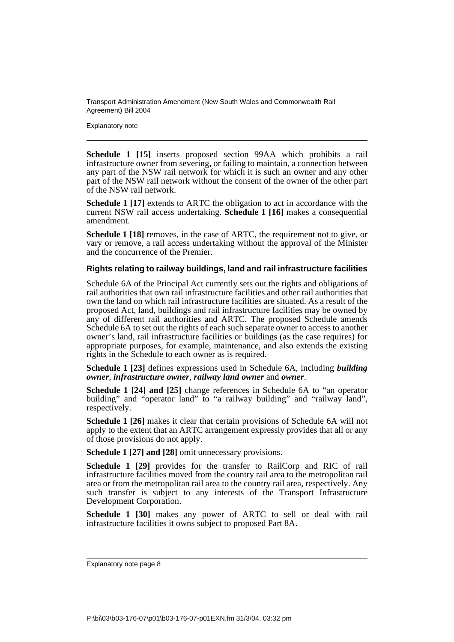Explanatory note

**Schedule 1 [15]** inserts proposed section 99AA which prohibits a rail infrastructure owner from severing, or failing to maintain, a connection between any part of the NSW rail network for which it is such an owner and any other part of the NSW rail network without the consent of the owner of the other part of the NSW rail network.

**Schedule 1 [17]** extends to ARTC the obligation to act in accordance with the current NSW rail access undertaking. **Schedule 1 [16]** makes a consequential amendment.

**Schedule 1 [18]** removes, in the case of ARTC, the requirement not to give, or vary or remove, a rail access undertaking without the approval of the Minister and the concurrence of the Premier.

#### **Rights relating to railway buildings, land and rail infrastructure facilities**

Schedule 6A of the Principal Act currently sets out the rights and obligations of rail authorities that own rail infrastructure facilities and other rail authorities that own the land on which rail infrastructure facilities are situated. As a result of the proposed Act, land, buildings and rail infrastructure facilities may be owned by any of different rail authorities and ARTC. The proposed Schedule amends Schedule 6A to set out the rights of each such separate owner to access to another owner's land, rail infrastructure facilities or buildings (as the case requires) for appropriate purposes, for example, maintenance, and also extends the existing rights in the Schedule to each owner as is required.

**Schedule 1 [23]** defines expressions used in Schedule 6A, including *building owner*, *infrastructure owner*, *railway land owner* and *owner*.

**Schedule 1 [24] and [25]** change references in Schedule 6A to "an operator building" and "operator land" to "a railway building" and "railway land", respectively.

**Schedule 1 [26]** makes it clear that certain provisions of Schedule 6A will not apply to the extent that an ARTC arrangement expressly provides that all or any of those provisions do not apply.

**Schedule 1 [27] and [28]** omit unnecessary provisions.

**Schedule 1 [29]** provides for the transfer to RailCorp and RIC of rail infrastructure facilities moved from the country rail area to the metropolitan rail area or from the metropolitan rail area to the country rail area, respectively. Any such transfer is subject to any interests of the Transport Infrastructure Development Corporation.

**Schedule 1 [30]** makes any power of ARTC to sell or deal with rail infrastructure facilities it owns subject to proposed Part 8A.

Explanatory note page 8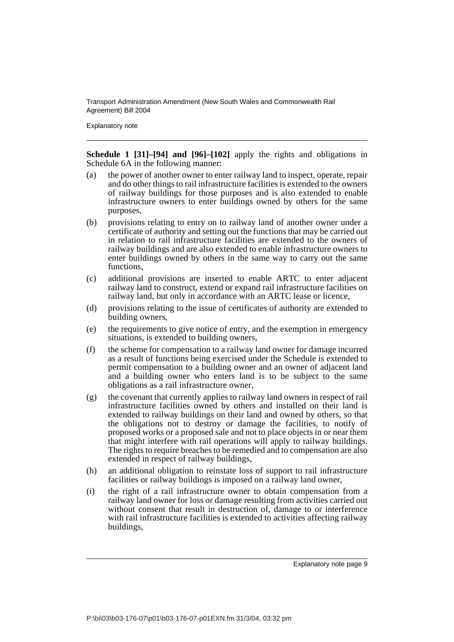Explanatory note

**Schedule 1 [31]–[94] and [96]–[102]** apply the rights and obligations in Schedule 6A in the following manner:

- (a) the power of another owner to enter railway land to inspect, operate, repair and do other things to rail infrastructure facilities is extended to the owners of railway buildings for those purposes and is also extended to enable infrastructure owners to enter buildings owned by others for the same purposes,
- (b) provisions relating to entry on to railway land of another owner under a certificate of authority and setting out the functions that may be carried out in relation to rail infrastructure facilities are extended to the owners of railway buildings and are also extended to enable infrastructure owners to enter buildings owned by others in the same way to carry out the same functions,
- (c) additional provisions are inserted to enable ARTC to enter adjacent railway land to construct, extend or expand rail infrastructure facilities on railway land, but only in accordance with an ARTC lease or licence,
- (d) provisions relating to the issue of certificates of authority are extended to building owners,
- (e) the requirements to give notice of entry, and the exemption in emergency situations, is extended to building owners,
- (f) the scheme for compensation to a railway land owner for damage incurred as a result of functions being exercised under the Schedule is extended to permit compensation to a building owner and an owner of adjacent land and a building owner who enters land is to be subject to the same obligations as a rail infrastructure owner,
- (g) the covenant that currently applies to railway land owners in respect of rail infrastructure facilities owned by others and installed on their land is extended to railway buildings on their land and owned by others, so that the obligations not to destroy or damage the facilities, to notify of proposed works or a proposed sale and not to place objects in or near them that might interfere with rail operations will apply to railway buildings. The rights to require breaches to be remedied and to compensation are also extended in respect of railway buildings,
- (h) an additional obligation to reinstate loss of support to rail infrastructure facilities or railway buildings is imposed on a railway land owner,
- (i) the right of a rail infrastructure owner to obtain compensation from a railway land owner for loss or damage resulting from activities carried out without consent that result in destruction of, damage to or interference with rail infrastructure facilities is extended to activities affecting railway buildings,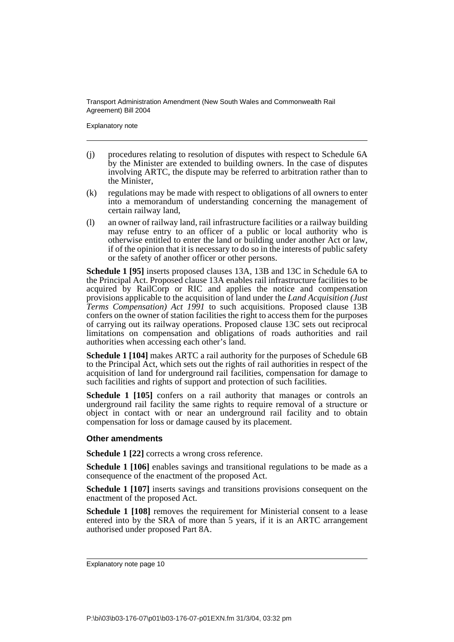Explanatory note

- (j) procedures relating to resolution of disputes with respect to Schedule 6A by the Minister are extended to building owners. In the case of disputes involving ARTC, the dispute may be referred to arbitration rather than to the Minister,
- (k) regulations may be made with respect to obligations of all owners to enter into a memorandum of understanding concerning the management of certain railway land,
- (l) an owner of railway land, rail infrastructure facilities or a railway building may refuse entry to an officer of a public or local authority who is otherwise entitled to enter the land or building under another Act or law, if of the opinion that it is necessary to do so in the interests of public safety or the safety of another officer or other persons.

**Schedule 1 [95]** inserts proposed clauses 13A, 13B and 13C in Schedule 6A to the Principal Act. Proposed clause 13A enables rail infrastructure facilities to be acquired by RailCorp or RIC and applies the notice and compensation provisions applicable to the acquisition of land under the *Land Acquisition (Just Terms Compensation) Act 1991* to such acquisitions. Proposed clause 13B confers on the owner of station facilities the right to access them for the purposes of carrying out its railway operations. Proposed clause 13C sets out reciprocal limitations on compensation and obligations of roads authorities and rail authorities when accessing each other's land.

**Schedule 1 [104]** makes ARTC a rail authority for the purposes of Schedule 6B to the Principal Act, which sets out the rights of rail authorities in respect of the acquisition of land for underground rail facilities, compensation for damage to such facilities and rights of support and protection of such facilities.

**Schedule 1 [105]** confers on a rail authority that manages or controls an underground rail facility the same rights to require removal of a structure or object in contact with or near an underground rail facility and to obtain compensation for loss or damage caused by its placement.

#### **Other amendments**

**Schedule 1 [22]** corrects a wrong cross reference.

**Schedule 1 [106]** enables savings and transitional regulations to be made as a consequence of the enactment of the proposed Act.

**Schedule 1 [107]** inserts savings and transitions provisions consequent on the enactment of the proposed Act.

**Schedule 1 [108]** removes the requirement for Ministerial consent to a lease entered into by the SRA of more than 5 years, if it is an ARTC arrangement authorised under proposed Part 8A.

Explanatory note page 10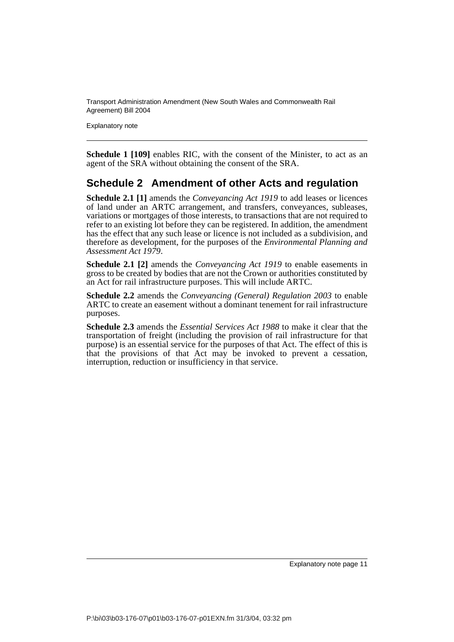Explanatory note

**Schedule 1 [109]** enables RIC, with the consent of the Minister, to act as an agent of the SRA without obtaining the consent of the SRA.

## **Schedule 2 Amendment of other Acts and regulation**

**Schedule 2.1 [1]** amends the *Conveyancing Act 1919* to add leases or licences of land under an ARTC arrangement, and transfers, conveyances, subleases, variations or mortgages of those interests, to transactions that are not required to refer to an existing lot before they can be registered. In addition, the amendment has the effect that any such lease or licence is not included as a subdivision, and therefore as development, for the purposes of the *Environmental Planning and Assessment Act 1979*.

**Schedule 2.1 [2]** amends the *Conveyancing Act 1919* to enable easements in gross to be created by bodies that are not the Crown or authorities constituted by an Act for rail infrastructure purposes. This will include ARTC.

**Schedule 2.2** amends the *Conveyancing (General) Regulation 2003* to enable ARTC to create an easement without a dominant tenement for rail infrastructure purposes.

**Schedule 2.3** amends the *Essential Services Act 1988* to make it clear that the transportation of freight (including the provision of rail infrastructure for that purpose) is an essential service for the purposes of that Act. The effect of this is that the provisions of that Act may be invoked to prevent a cessation, interruption, reduction or insufficiency in that service.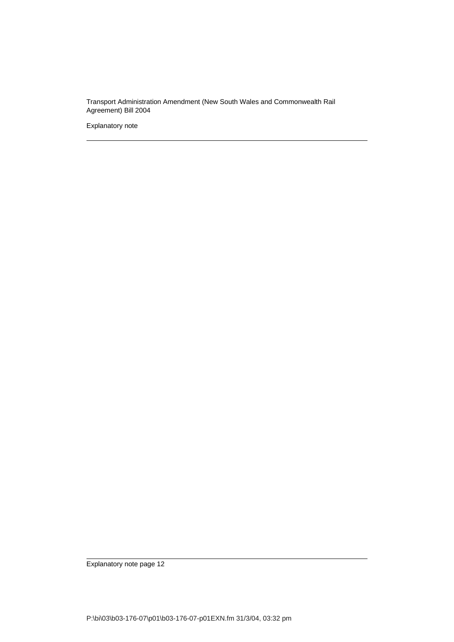Explanatory note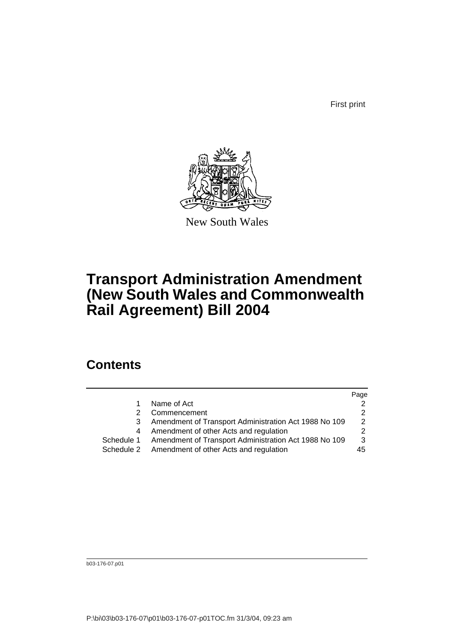First print



New South Wales

# **Transport Administration Amendment (New South Wales and Commonwealth Rail Agreement) Bill 2004**

## **Contents**

|            |                                                       | Page          |
|------------|-------------------------------------------------------|---------------|
|            | Name of Act                                           |               |
|            | Commencement                                          |               |
|            | Amendment of Transport Administration Act 1988 No 109 | $\mathcal{P}$ |
| 4          | Amendment of other Acts and regulation                |               |
| Schedule 1 | Amendment of Transport Administration Act 1988 No 109 | 3             |
| Schedule 2 | Amendment of other Acts and regulation                | 45            |
|            |                                                       |               |

b03-176-07.p01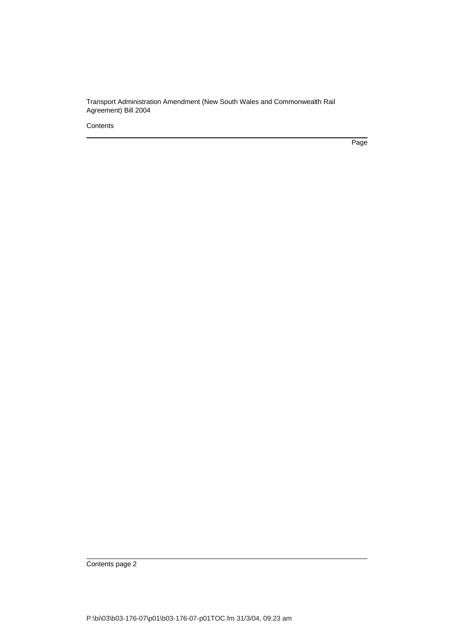**Contents** 

Page

Contents page 2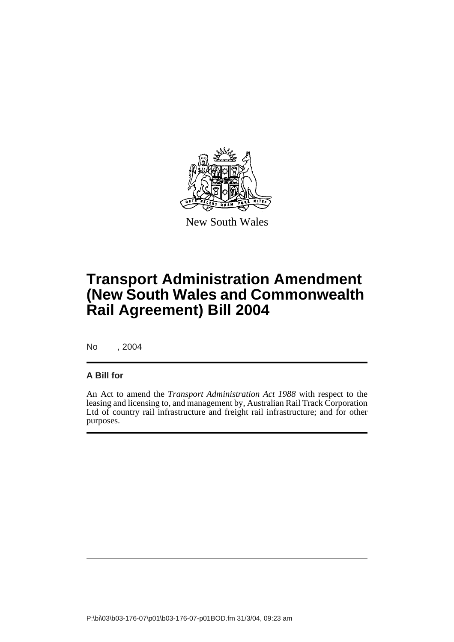

New South Wales

# **Transport Administration Amendment (New South Wales and Commonwealth Rail Agreement) Bill 2004**

No , 2004

### **A Bill for**

An Act to amend the *Transport Administration Act 1988* with respect to the leasing and licensing to, and management by, Australian Rail Track Corporation Ltd of country rail infrastructure and freight rail infrastructure; and for other purposes.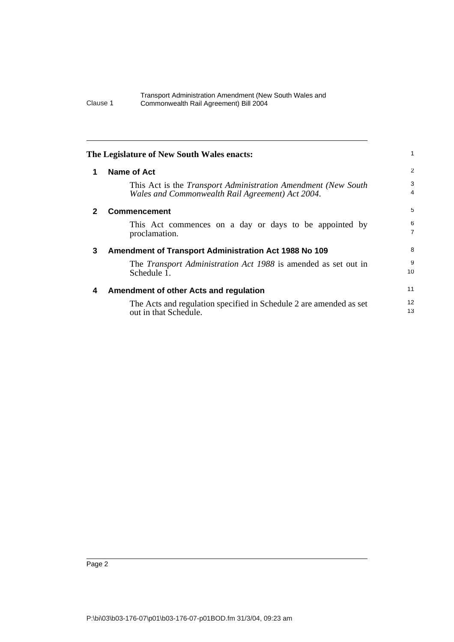<span id="page-15-3"></span><span id="page-15-2"></span><span id="page-15-1"></span><span id="page-15-0"></span>

|   | The Legislature of New South Wales enacts:                                                                                 | 1                   |
|---|----------------------------------------------------------------------------------------------------------------------------|---------------------|
| 1 | <b>Name of Act</b>                                                                                                         | 2                   |
|   | This Act is the <i>Transport Administration Amendment (New South</i> )<br>Wales and Commonwealth Rail Agreement) Act 2004. | 3<br>$\overline{4}$ |
| 2 | <b>Commencement</b>                                                                                                        | 5                   |
|   | This Act commences on a day or days to be appointed by<br>proclamation.                                                    | 6<br>$\overline{7}$ |
| 3 | Amendment of Transport Administration Act 1988 No 109                                                                      | 8                   |
|   | The <i>Transport Administration Act 1988</i> is amended as set out in<br>Schedule 1.                                       | 9<br>10             |
| 4 | Amendment of other Acts and regulation                                                                                     | 11                  |
|   | The Acts and regulation specified in Schedule 2 are amended as set<br>out in that Schedule.                                | 12<br>13            |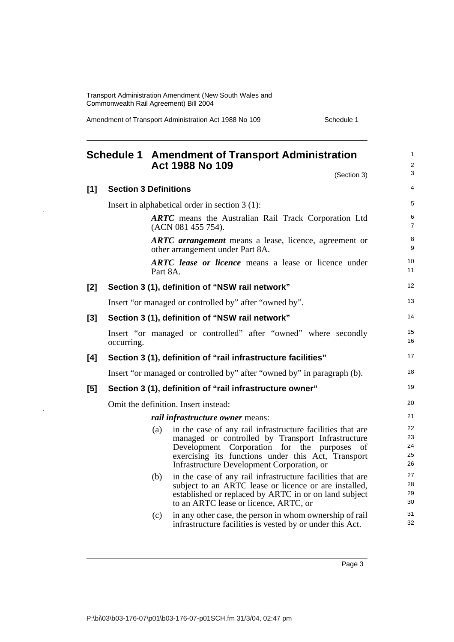Amendment of Transport Administration Act 1988 No 109 Schedule 1

<span id="page-16-0"></span>

|     |                              |     | <b>Schedule 1 Amendment of Transport Administration</b><br>Act 1988 No 109                                           | $\mathbf{1}$<br>2<br>3 |
|-----|------------------------------|-----|----------------------------------------------------------------------------------------------------------------------|------------------------|
|     | <b>Section 3 Definitions</b> |     | (Section 3)                                                                                                          | 4                      |
| [1] |                              |     |                                                                                                                      |                        |
|     |                              |     | Insert in alphabetical order in section $3(1)$ :                                                                     | 5                      |
|     |                              |     | <b>ARTC</b> means the Australian Rail Track Corporation Ltd<br>(ACN 081 455 754).                                    | 6<br>$\overline{7}$    |
|     |                              |     | <b>ARTC</b> arrangement means a lease, licence, agreement or<br>other arrangement under Part 8A.                     | 8<br>9                 |
|     |                              |     | <b>ARTC</b> lease or licence means a lease or licence under<br>Part 8A.                                              | 10<br>11               |
| [2] |                              |     | Section 3 (1), definition of "NSW rail network"                                                                      | 12                     |
|     |                              |     | Insert "or managed or controlled by" after "owned by".                                                               | 13                     |
| [3] |                              |     | Section 3 (1), definition of "NSW rail network"                                                                      | 14                     |
|     | occurring.                   |     | Insert "or managed or controlled" after "owned" where secondly                                                       | 15<br>16               |
| [4] |                              |     | Section 3 (1), definition of "rail infrastructure facilities"                                                        | 17                     |
|     |                              |     | Insert "or managed or controlled by" after "owned by" in paragraph (b).                                              | 18                     |
| [5] |                              |     | Section 3 (1), definition of "rail infrastructure owner"                                                             | 19                     |
|     |                              |     | Omit the definition. Insert instead:                                                                                 | 20                     |
|     |                              |     | <i>rail infrastructure owner means:</i>                                                                              | 21                     |
|     |                              | (a) | in the case of any rail infrastructure facilities that are                                                           | 22                     |
|     |                              |     | managed or controlled by Transport Infrastructure<br>Development Corporation for the purposes<br><sub>of</sub>       | 23<br>24               |
|     |                              |     | exercising its functions under this Act, Transport                                                                   | 25                     |
|     |                              |     | Infrastructure Development Corporation, or                                                                           | 26                     |
|     |                              | (b) | in the case of any rail infrastructure facilities that are<br>subject to an ARTC lease or licence or are installed,  | 27<br>28               |
|     |                              |     | established or replaced by ARTC in or on land subject                                                                | 29                     |
|     |                              |     | to an ARTC lease or licence, ARTC, or                                                                                | 30                     |
|     |                              | (c) | in any other case, the person in whom ownership of rail<br>infrastructure facilities is vested by or under this Act. | 31<br>32               |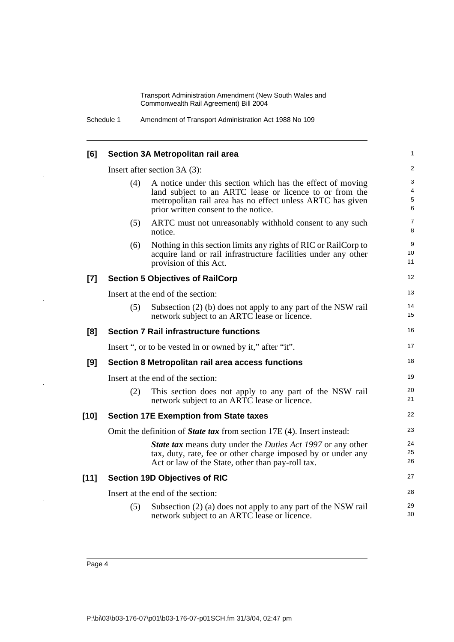Schedule 1 Amendment of Transport Administration Act 1988 No 109

| [6]    |     | Section 3A Metropolitan rail area                                                                                                                                                                                           | 1                |
|--------|-----|-----------------------------------------------------------------------------------------------------------------------------------------------------------------------------------------------------------------------------|------------------|
|        |     | Insert after section 3A (3):                                                                                                                                                                                                | $\overline{c}$   |
|        | (4) | A notice under this section which has the effect of moving<br>land subject to an ARTC lease or licence to or from the<br>metropolitan rail area has no effect unless ARTC has given<br>prior written consent to the notice. | 3<br>4<br>5<br>6 |
|        | (5) | ARTC must not unreasonably withhold consent to any such<br>notice.                                                                                                                                                          | 7<br>8           |
|        | (6) | Nothing in this section limits any rights of RIC or RailCorp to<br>acquire land or rail infrastructure facilities under any other<br>provision of this Act.                                                                 | 9<br>10<br>11    |
| $[7]$  |     | <b>Section 5 Objectives of RailCorp</b>                                                                                                                                                                                     | 12               |
|        |     | Insert at the end of the section:                                                                                                                                                                                           | 13               |
|        | (5) | Subsection (2) (b) does not apply to any part of the NSW rail<br>network subject to an ARTC lease or licence.                                                                                                               | 14<br>15         |
| [8]    |     | <b>Section 7 Rail infrastructure functions</b>                                                                                                                                                                              | 16               |
|        |     | Insert ", or to be vested in or owned by it," after "it".                                                                                                                                                                   | 17               |
| [9]    |     | Section 8 Metropolitan rail area access functions                                                                                                                                                                           | 18               |
|        |     | Insert at the end of the section:                                                                                                                                                                                           | 19               |
|        | (2) | This section does not apply to any part of the NSW rail<br>network subject to an ARTC lease or licence.                                                                                                                     | 20<br>21         |
| $[10]$ |     | <b>Section 17E Exemption from State taxes</b>                                                                                                                                                                               | 22               |
|        |     | Omit the definition of <i>State tax</i> from section 17E (4). Insert instead:                                                                                                                                               | 23               |
|        |     | State tax means duty under the Duties Act 1997 or any other<br>tax, duty, rate, fee or other charge imposed by or under any<br>Act or law of the State, other than pay-roll tax.                                            | 24<br>25<br>26   |
| $[11]$ |     | <b>Section 19D Objectives of RIC</b>                                                                                                                                                                                        | 27               |
|        |     | Insert at the end of the section:                                                                                                                                                                                           | 28               |
|        | (5) | Subsection (2) (a) does not apply to any part of the NSW rail<br>network subject to an ARTC lease or licence.                                                                                                               | 29<br>30         |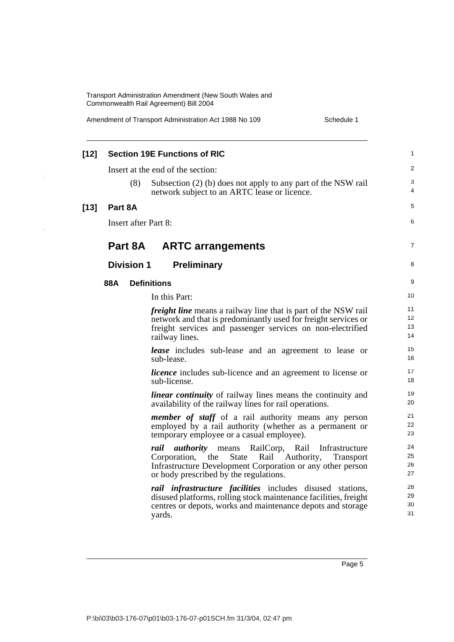| $[12]$ |         |                   | <b>Section 19E Functions of RIC</b>                                                                                                                                                                                                                            | 1                    |
|--------|---------|-------------------|----------------------------------------------------------------------------------------------------------------------------------------------------------------------------------------------------------------------------------------------------------------|----------------------|
|        |         |                   | Insert at the end of the section:                                                                                                                                                                                                                              | 2                    |
|        |         | (8)               | Subsection (2) (b) does not apply to any part of the NSW rail<br>network subject to an ARTC lease or licence.                                                                                                                                                  | 3<br>4               |
| $[13]$ | Part 8A |                   |                                                                                                                                                                                                                                                                | 5                    |
|        |         |                   | <b>Insert after Part 8:</b>                                                                                                                                                                                                                                    | 6                    |
|        |         | Part 8A           | <b>ARTC arrangements</b>                                                                                                                                                                                                                                       | 7                    |
|        |         | <b>Division 1</b> | <b>Preliminary</b>                                                                                                                                                                                                                                             | 8                    |
|        | 88A     |                   | <b>Definitions</b>                                                                                                                                                                                                                                             | 9                    |
|        |         |                   | In this Part:                                                                                                                                                                                                                                                  | 10                   |
|        |         |                   | <i>freight line</i> means a railway line that is part of the NSW rail<br>network and that is predominantly used for freight services or<br>freight services and passenger services on non-electrified<br>railway lines.                                        | 11<br>12<br>13<br>14 |
|        |         |                   | <b>lease</b> includes sub-lease and an agreement to lease or<br>sub-lease.                                                                                                                                                                                     | 15<br>16             |
|        |         |                   | <i>licence</i> includes sub-licence and an agreement to license or<br>sub-license.                                                                                                                                                                             | 17<br>18             |
|        |         |                   | <i>linear continuity</i> of railway lines means the continuity and<br>availability of the railway lines for rail operations.                                                                                                                                   | 19<br>20             |
|        |         |                   | <i>member of staff</i> of a rail authority means any person<br>employed by a rail authority (whether as a permanent or<br>temporary employee or a casual employee).                                                                                            | 21<br>22<br>23       |
|        |         |                   | RailCorp, Rail<br>Infrastructure<br>rail<br><i>authority</i><br>means<br>Authority,<br>Corporation,<br><b>State</b><br>Rail<br>the<br><b>Transport</b><br>Infrastructure Development Corporation or any other person<br>or body prescribed by the regulations. | 24<br>25<br>26<br>27 |
|        |         |                   | <i>rail infrastructure facilities</i> includes disused stations,<br>disused platforms, rolling stock maintenance facilities, freight<br>centres or depots, works and maintenance depots and storage<br>yards.                                                  | 28<br>29<br>30<br>31 |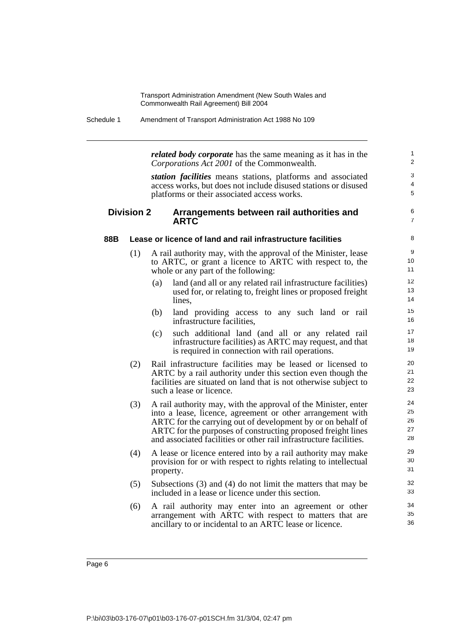Schedule 1 Amendment of Transport Administration Act 1988 No 109

*related body corporate* has the same meaning as it has in the *Corporations Act 2001* of the Commonwealth.

6 7

*station facilities* means stations, platforms and associated access works, but does not include disused stations or disused platforms or their associated access works.

#### **Division 2 Arrangements between rail authorities and ARTC**

#### **88B Lease or licence of land and rail infrastructure facilities**

- (1) A rail authority may, with the approval of the Minister, lease to ARTC, or grant a licence to ARTC with respect to, the whole or any part of the following:
	- (a) land (and all or any related rail infrastructure facilities) used for, or relating to, freight lines or proposed freight lines,
	- (b) land providing access to any such land or rail infrastructure facilities,
	- (c) such additional land (and all or any related rail infrastructure facilities) as ARTC may request, and that is required in connection with rail operations.
- (2) Rail infrastructure facilities may be leased or licensed to ARTC by a rail authority under this section even though the facilities are situated on land that is not otherwise subject to such a lease or licence.
- (3) A rail authority may, with the approval of the Minister, enter into a lease, licence, agreement or other arrangement with ARTC for the carrying out of development by or on behalf of ARTC for the purposes of constructing proposed freight lines and associated facilities or other rail infrastructure facilities.
- (4) A lease or licence entered into by a rail authority may make provision for or with respect to rights relating to intellectual property.
- (5) Subsections (3) and (4) do not limit the matters that may be included in a lease or licence under this section.
- (6) A rail authority may enter into an agreement or other arrangement with ARTC with respect to matters that are ancillary to or incidental to an ARTC lease or licence.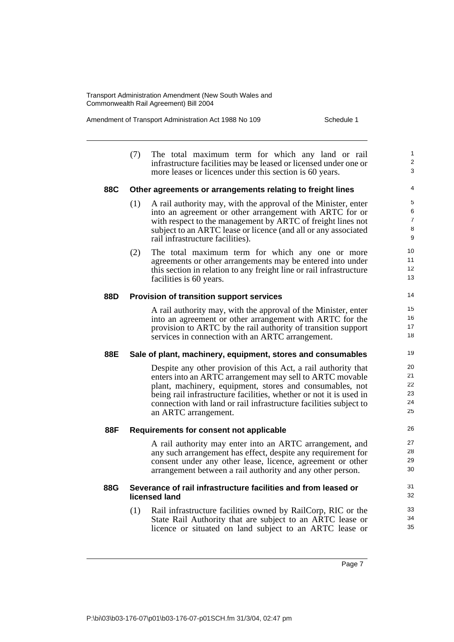Amendment of Transport Administration Act 1988 No 109 Schedule 1

|            | (7) | The total maximum term for which any land or rail                                                                                       | 1                   |
|------------|-----|-----------------------------------------------------------------------------------------------------------------------------------------|---------------------|
|            |     | infrastructure facilities may be leased or licensed under one or                                                                        | $\overline{2}$<br>3 |
|            |     | more leases or licences under this section is 60 years.                                                                                 |                     |
| <b>88C</b> |     | Other agreements or arrangements relating to freight lines                                                                              | 4                   |
|            | (1) | A rail authority may, with the approval of the Minister, enter                                                                          | 5                   |
|            |     | into an agreement or other arrangement with ARTC for or                                                                                 | 6                   |
|            |     | with respect to the management by ARTC of freight lines not                                                                             | $\overline{7}$<br>8 |
|            |     | subject to an ARTC lease or licence (and all or any associated<br>rail infrastructure facilities).                                      | 9                   |
|            | (2) | The total maximum term for which any one or more                                                                                        | 10                  |
|            |     | agreements or other arrangements may be entered into under                                                                              | 11                  |
|            |     | this section in relation to any freight line or rail infrastructure                                                                     | 12                  |
|            |     | facilities is 60 years.                                                                                                                 | 13                  |
| 88D        |     | Provision of transition support services                                                                                                | 14                  |
|            |     | A rail authority may, with the approval of the Minister, enter                                                                          | 15                  |
|            |     | into an agreement or other arrangement with ARTC for the                                                                                | 16                  |
|            |     | provision to ARTC by the rail authority of transition support                                                                           | 17                  |
|            |     | services in connection with an ARTC arrangement.                                                                                        | 18                  |
| 88E        |     | Sale of plant, machinery, equipment, stores and consumables                                                                             | 19                  |
|            |     | Despite any other provision of this Act, a rail authority that                                                                          | 20                  |
|            |     | enters into an ARTC arrangement may sell to ARTC movable                                                                                | 21                  |
|            |     | plant, machinery, equipment, stores and consumables, not                                                                                | 22<br>23            |
|            |     | being rail infrastructure facilities, whether or not it is used in<br>connection with land or rail infrastructure facilities subject to | 24                  |
|            |     | an ARTC arrangement.                                                                                                                    | 25                  |
|            |     |                                                                                                                                         |                     |
| 88F        |     | Requirements for consent not applicable                                                                                                 | 26                  |
|            |     | A rail authority may enter into an ARTC arrangement, and                                                                                | 27                  |
|            |     | any such arrangement has effect, despite any requirement for                                                                            | 28                  |
|            |     | consent under any other lease, licence, agreement or other                                                                              | 29                  |
|            |     | arrangement between a rail authority and any other person.                                                                              | 30                  |
| <b>88G</b> |     | Severance of rail infrastructure facilities and from leased or                                                                          | 31                  |
|            |     | licensed land                                                                                                                           | 32                  |
|            | (1) | Rail infrastructure facilities owned by RailCorp, RIC or the                                                                            | 33                  |
|            |     | State Rail Authority that are subject to an ARTC lease or                                                                               | 34                  |
|            |     | licence or situated on land subject to an ARTC lease or                                                                                 | 35                  |
|            |     |                                                                                                                                         |                     |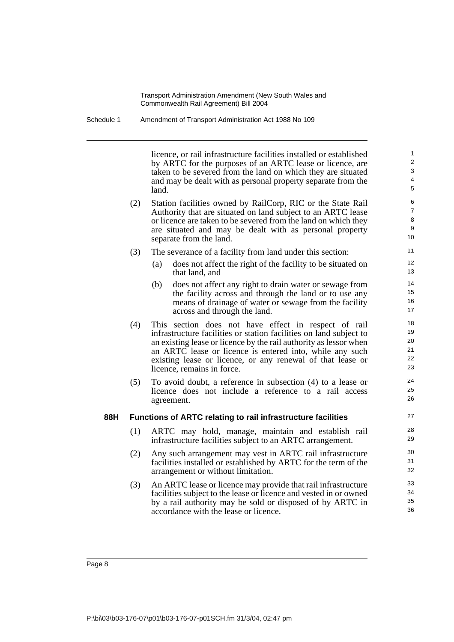Schedule 1 Amendment of Transport Administration Act 1988 No 109

licence, or rail infrastructure facilities installed or established by ARTC for the purposes of an ARTC lease or licence, are taken to be severed from the land on which they are situated and may be dealt with as personal property separate from the land.

- (2) Station facilities owned by RailCorp, RIC or the State Rail Authority that are situated on land subject to an ARTC lease or licence are taken to be severed from the land on which they are situated and may be dealt with as personal property separate from the land.
- (3) The severance of a facility from land under this section:
	- (a) does not affect the right of the facility to be situated on that land, and
	- (b) does not affect any right to drain water or sewage from the facility across and through the land or to use any means of drainage of water or sewage from the facility across and through the land.
- (4) This section does not have effect in respect of rail infrastructure facilities or station facilities on land subject to an existing lease or licence by the rail authority as lessor when an ARTC lease or licence is entered into, while any such existing lease or licence, or any renewal of that lease or licence, remains in force.
- (5) To avoid doubt, a reference in subsection (4) to a lease or licence does not include a reference to a rail access agreement.

#### **88H Functions of ARTC relating to rail infrastructure facilities**

- (1) ARTC may hold, manage, maintain and establish rail infrastructure facilities subject to an ARTC arrangement.
- (2) Any such arrangement may vest in ARTC rail infrastructure facilities installed or established by ARTC for the term of the arrangement or without limitation.
- (3) An ARTC lease or licence may provide that rail infrastructure facilities subject to the lease or licence and vested in or owned by a rail authority may be sold or disposed of by ARTC in accordance with the lease or licence.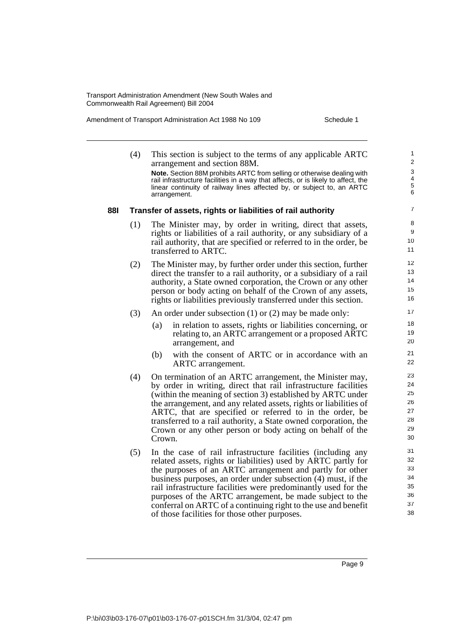Amendment of Transport Administration Act 1988 No 109 Schedule 1

(4) This section is subject to the terms of any applicable ARTC arrangement and section 88M. **Note.** Section 88M prohibits ARTC from selling or otherwise dealing with rail infrastructure facilities in a way that affects, or is likely to affect, the linear continuity of railway lines affected by, or subject to, an ARTC arrangement.

#### **88I Transfer of assets, rights or liabilities of rail authority**

- (1) The Minister may, by order in writing, direct that assets, rights or liabilities of a rail authority, or any subsidiary of a rail authority, that are specified or referred to in the order, be transferred to ARTC.
- (2) The Minister may, by further order under this section, further direct the transfer to a rail authority, or a subsidiary of a rail authority, a State owned corporation, the Crown or any other person or body acting on behalf of the Crown of any assets, rights or liabilities previously transferred under this section.
- (3) An order under subsection (1) or (2) may be made only:
	- (a) in relation to assets, rights or liabilities concerning, or relating to, an ARTC arrangement or a proposed ARTC arrangement, and
	- (b) with the consent of ARTC or in accordance with an ARTC arrangement.
- (4) On termination of an ARTC arrangement, the Minister may, by order in writing, direct that rail infrastructure facilities (within the meaning of section 3) established by ARTC under the arrangement, and any related assets, rights or liabilities of ARTC, that are specified or referred to in the order, be transferred to a rail authority, a State owned corporation, the Crown or any other person or body acting on behalf of the Crown.
- (5) In the case of rail infrastructure facilities (including any related assets, rights or liabilities) used by ARTC partly for the purposes of an ARTC arrangement and partly for other business purposes, an order under subsection (4) must, if the rail infrastructure facilities were predominantly used for the purposes of the ARTC arrangement, be made subject to the conferral on ARTC of a continuing right to the use and benefit of those facilities for those other purposes.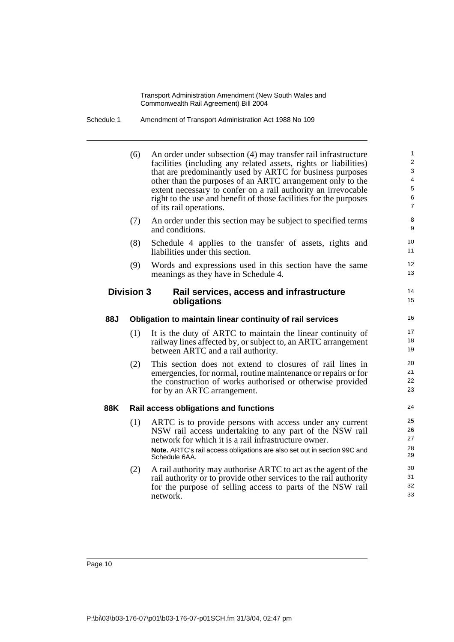Schedule 1 Amendment of Transport Administration Act 1988 No 109

|            | (6)               | An order under subsection (4) may transfer rail infrastructure<br>facilities (including any related assets, rights or liabilities)<br>that are predominantly used by ARTC for business purposes<br>other than the purposes of an ARTC arrangement only to the<br>extent necessary to confer on a rail authority an irrevocable<br>right to the use and benefit of those facilities for the purposes<br>of its rail operations. | $\mathbf{1}$<br>$\overline{2}$<br>3<br>$\overline{\mathbf{4}}$<br>$\sqrt{5}$<br>6<br>$\overline{7}$ |
|------------|-------------------|--------------------------------------------------------------------------------------------------------------------------------------------------------------------------------------------------------------------------------------------------------------------------------------------------------------------------------------------------------------------------------------------------------------------------------|-----------------------------------------------------------------------------------------------------|
|            | (7)               | An order under this section may be subject to specified terms<br>and conditions.                                                                                                                                                                                                                                                                                                                                               | 8<br>9                                                                                              |
|            | (8)               | Schedule 4 applies to the transfer of assets, rights and<br>liabilities under this section.                                                                                                                                                                                                                                                                                                                                    | 10<br>11                                                                                            |
|            | (9)               | Words and expressions used in this section have the same<br>meanings as they have in Schedule 4.                                                                                                                                                                                                                                                                                                                               | 12<br>13                                                                                            |
|            | <b>Division 3</b> | Rail services, access and infrastructure<br>obligations                                                                                                                                                                                                                                                                                                                                                                        | 14<br>15                                                                                            |
| <b>88J</b> |                   | Obligation to maintain linear continuity of rail services                                                                                                                                                                                                                                                                                                                                                                      | 16                                                                                                  |
|            | (1)               | It is the duty of ARTC to maintain the linear continuity of<br>railway lines affected by, or subject to, an ARTC arrangement<br>between ARTC and a rail authority.                                                                                                                                                                                                                                                             | 17<br>18<br>19                                                                                      |
|            | (2)               | This section does not extend to closures of rail lines in<br>emergencies, for normal, routine maintenance or repairs or for<br>the construction of works authorised or otherwise provided<br>for by an ARTC arrangement.                                                                                                                                                                                                       | 20<br>21<br>22<br>23                                                                                |
| 88K        |                   | Rail access obligations and functions                                                                                                                                                                                                                                                                                                                                                                                          | 24                                                                                                  |
|            | (1)               | ARTC is to provide persons with access under any current<br>NSW rail access undertaking to any part of the NSW rail<br>network for which it is a rail infrastructure owner.<br>Note. ARTC's rail access obligations are also set out in section 99C and<br>Schedule 6AA.                                                                                                                                                       | 25<br>26<br>27<br>28<br>29                                                                          |
|            | (2)               | A rail authority may authorise ARTC to act as the agent of the<br>rail authority or to provide other services to the rail authority<br>for the purpose of selling access to parts of the NSW rail<br>network.                                                                                                                                                                                                                  | 30<br>31<br>32<br>33                                                                                |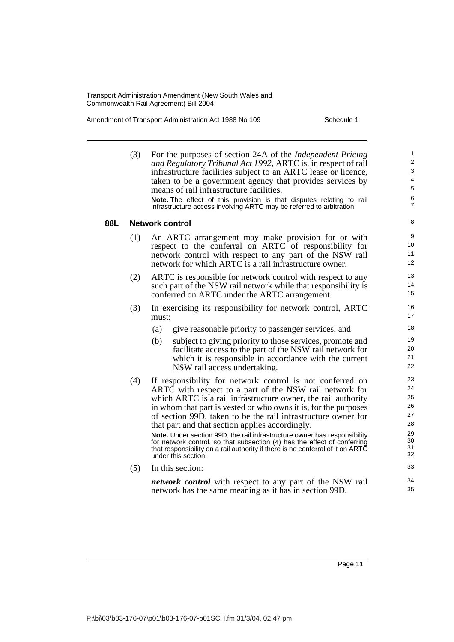Amendment of Transport Administration Act 1988 No 109 Schedule 1

**88L Network control**

| (3) | For the purposes of section 24A of the <i>Independent Pricing</i><br>and Regulatory Tribunal Act 1992, ARTC is, in respect of rail<br>infrastructure facilities subject to an ARTC lease or licence,<br>taken to be a government agency that provides services by<br>means of rail infrastructure facilities.<br>Note. The effect of this provision is that disputes relating to rail<br>infrastructure access involving ARTC may be referred to arbitration.                                                                                                                                                                                  |
|-----|------------------------------------------------------------------------------------------------------------------------------------------------------------------------------------------------------------------------------------------------------------------------------------------------------------------------------------------------------------------------------------------------------------------------------------------------------------------------------------------------------------------------------------------------------------------------------------------------------------------------------------------------|
|     | <b>Network control</b>                                                                                                                                                                                                                                                                                                                                                                                                                                                                                                                                                                                                                         |
| (1) | An ARTC arrangement may make provision for or with<br>respect to the conferral on ARTC of responsibility for<br>network control with respect to any part of the NSW rail<br>network for which ARTC is a rail infrastructure owner.                                                                                                                                                                                                                                                                                                                                                                                                             |
| (2) | ARTC is responsible for network control with respect to any<br>such part of the NSW rail network while that responsibility is<br>conferred on ARTC under the ARTC arrangement.                                                                                                                                                                                                                                                                                                                                                                                                                                                                 |
| (3) | In exercising its responsibility for network control, ARTC<br>must:<br>give reasonable priority to passenger services, and<br>(a)<br>subject to giving priority to those services, promote and<br>(b)<br>facilitate access to the part of the NSW rail network for<br>which it is responsible in accordance with the current<br>NSW rail access undertaking.                                                                                                                                                                                                                                                                                   |
| (4) | If responsibility for network control is not conferred on<br>ARTC with respect to a part of the NSW rail network for<br>which ARTC is a rail infrastructure owner, the rail authority<br>in whom that part is vested or who owns it is, for the purposes<br>of section 99D, taken to be the rail infrastructure owner for<br>that part and that section applies accordingly.<br>Note. Under section 99D, the rail infrastructure owner has responsibility<br>for network control, so that subsection (4) has the effect of conferring<br>that responsibility on a rail authority if there is no conferral of it on ARTC<br>under this section. |
| (5) | In this section:                                                                                                                                                                                                                                                                                                                                                                                                                                                                                                                                                                                                                               |
|     | network control with respect to any part of the NSW rail<br>network has the same meaning as it has in section 99D.                                                                                                                                                                                                                                                                                                                                                                                                                                                                                                                             |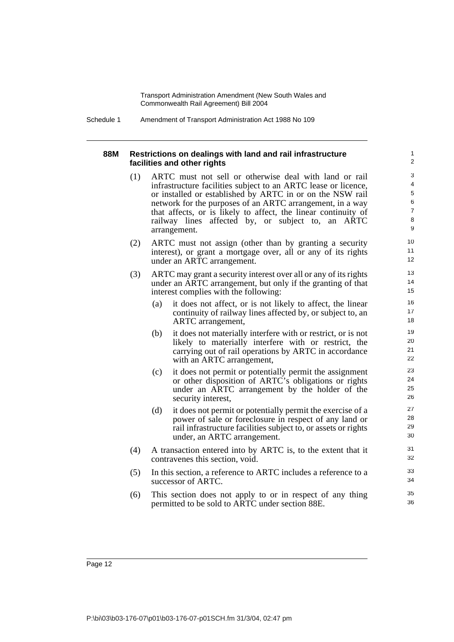Schedule 1 Amendment of Transport Administration Act 1988 No 109

#### **88M Restrictions on dealings with land and rail infrastructure facilities and other rights**

(1) ARTC must not sell or otherwise deal with land or rail infrastructure facilities subject to an ARTC lease or licence, or installed or established by ARTC in or on the NSW rail network for the purposes of an ARTC arrangement, in a way that affects, or is likely to affect, the linear continuity of railway lines affected by, or subject to, an ARTC arrangement.

- (2) ARTC must not assign (other than by granting a security interest), or grant a mortgage over, all or any of its rights under an ARTC arrangement.
- (3) ARTC may grant a security interest over all or any of its rights under an ARTC arrangement, but only if the granting of that interest complies with the following:
	- (a) it does not affect, or is not likely to affect, the linear continuity of railway lines affected by, or subject to, an ARTC arrangement,
	- (b) it does not materially interfere with or restrict, or is not likely to materially interfere with or restrict, the carrying out of rail operations by ARTC in accordance with an ARTC arrangement,
	- (c) it does not permit or potentially permit the assignment or other disposition of ARTC's obligations or rights under an ARTC arrangement by the holder of the security interest,
	- (d) it does not permit or potentially permit the exercise of a power of sale or foreclosure in respect of any land or rail infrastructure facilities subject to, or assets or rights under, an ARTC arrangement.
- (4) A transaction entered into by ARTC is, to the extent that it contravenes this section, void.
- (5) In this section, a reference to ARTC includes a reference to a successor of ARTC.
- (6) This section does not apply to or in respect of any thing permitted to be sold to ARTC under section 88E.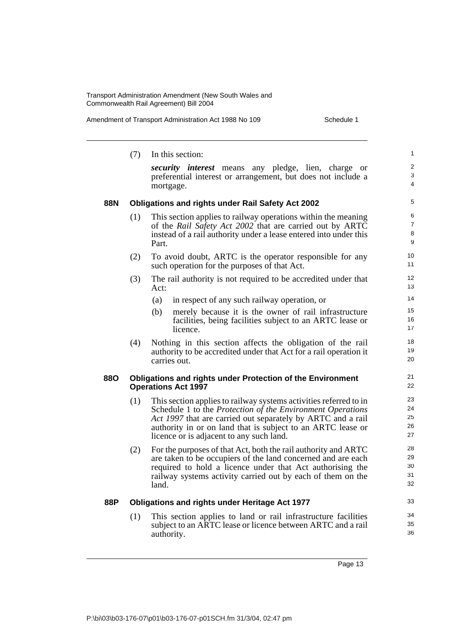Amendment of Transport Administration Act 1988 No 109 Schedule 1

|            | (7) | In this section:                                                                                                         | $\mathbf{1}$   |
|------------|-----|--------------------------------------------------------------------------------------------------------------------------|----------------|
|            |     | <i>security interest</i> means any pledge, lien, charge or                                                               | $\overline{2}$ |
|            |     | preferential interest or arrangement, but does not include a                                                             | 3              |
|            |     | mortgage.                                                                                                                | 4              |
| <b>88N</b> |     | <b>Obligations and rights under Rail Safety Act 2002</b>                                                                 | 5              |
|            | (1) | This section applies to railway operations within the meaning                                                            | 6              |
|            |     | of the Rail Safety Act 2002 that are carried out by ARTC                                                                 | $\overline{7}$ |
|            |     | instead of a rail authority under a lease entered into under this<br>Part.                                               | 8<br>9         |
|            | (2) | To avoid doubt, ARTC is the operator responsible for any                                                                 | 10             |
|            |     | such operation for the purposes of that Act.                                                                             | 11             |
|            | (3) | The rail authority is not required to be accredited under that<br>Act:                                                   | 12<br>13       |
|            |     | (a)<br>in respect of any such railway operation, or                                                                      | 14             |
|            |     | (b)<br>merely because it is the owner of rail infrastructure                                                             | 15             |
|            |     | facilities, being facilities subject to an ARTC lease or                                                                 | 16             |
|            |     | licence.                                                                                                                 | 17             |
|            | (4) | Nothing in this section affects the obligation of the rail                                                               | 18             |
|            |     | authority to be accredited under that Act for a rail operation it                                                        | 19             |
|            |     | carries out.                                                                                                             | 20             |
| <b>880</b> |     | <b>Obligations and rights under Protection of the Environment</b><br><b>Operations Act 1997</b>                          | 21<br>22       |
|            | (1) | This section applies to railway systems activities referred to in                                                        | 23             |
|            |     | Schedule 1 to the Protection of the Environment Operations                                                               | 24             |
|            |     | Act 1997 that are carried out separately by ARTC and a rail                                                              | 25             |
|            |     | authority in or on land that is subject to an ARTC lease or                                                              | 26<br>27       |
|            |     | licence or is adjacent to any such land.                                                                                 |                |
|            | (2) | For the purposes of that Act, both the rail authority and ARTC                                                           | 28             |
|            |     | are taken to be occupiers of the land concerned and are each                                                             | 29<br>30       |
|            |     | required to hold a licence under that Act authorising the<br>railway systems activity carried out by each of them on the | 31             |
|            |     | land.                                                                                                                    | 32             |
| 88P        |     | <b>Obligations and rights under Heritage Act 1977</b>                                                                    | 33             |
|            | (1) | This section applies to land or rail infrastructure facilities                                                           | 34             |
|            |     | subject to an ARTC lease or licence between ARTC and a rail                                                              | 35             |
|            |     | authority.                                                                                                               | 36             |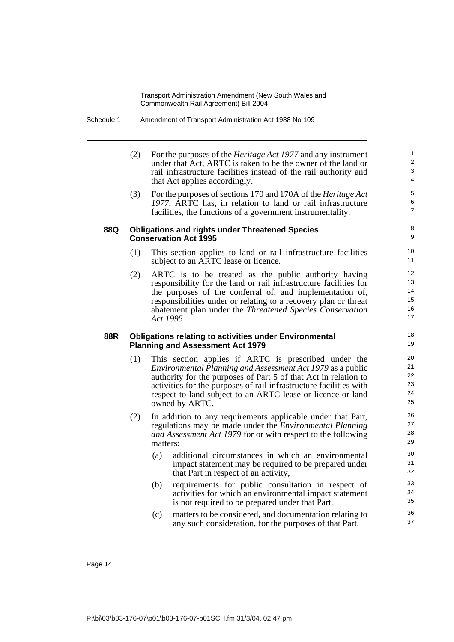(2) For the purposes of the *Heritage Act 1977* and any instrument under that Act, ARTC is taken to be the owner of the land or rail infrastructure facilities instead of the rail authority and that Act applies accordingly.

(3) For the purposes of sections 170 and 170A of the *Heritage Act 1977*, ARTC has, in relation to land or rail infrastructure facilities, the functions of a government instrumentality.

#### **88Q Obligations and rights under Threatened Species Conservation Act 1995**

- (1) This section applies to land or rail infrastructure facilities subject to an ARTC lease or licence.
- (2) ARTC is to be treated as the public authority having responsibility for the land or rail infrastructure facilities for the purposes of the conferral of, and implementation of, responsibilities under or relating to a recovery plan or threat abatement plan under the *Threatened Species Conservation Act 1995*.

#### **88R Obligations relating to activities under Environmental Planning and Assessment Act 1979**

- (1) This section applies if ARTC is prescribed under the *Environmental Planning and Assessment Act 1979* as a public authority for the purposes of Part 5 of that Act in relation to activities for the purposes of rail infrastructure facilities with respect to land subject to an ARTC lease or licence or land owned by ARTC.
- (2) In addition to any requirements applicable under that Part, regulations may be made under the *Environmental Planning and Assessment Act 1979* for or with respect to the following matters:
	- (a) additional circumstances in which an environmental impact statement may be required to be prepared under that Part in respect of an activity,
	- (b) requirements for public consultation in respect of activities for which an environmental impact statement is not required to be prepared under that Part,
	- (c) matters to be considered, and documentation relating to any such consideration, for the purposes of that Part,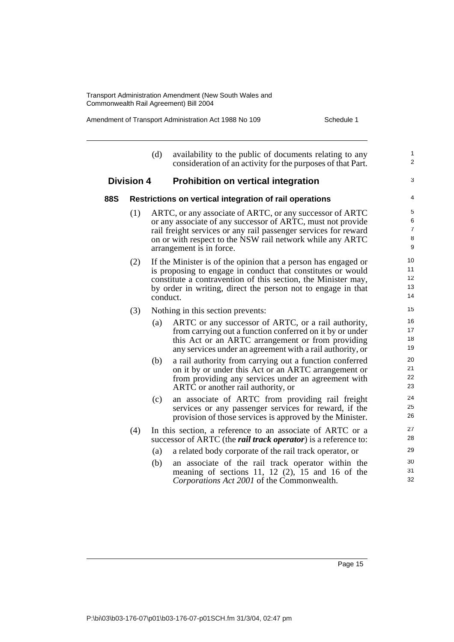Amendment of Transport Administration Act 1988 No 109 Schedule 1

|     |                   | (d)      | availability to the public of documents relating to any<br>consideration of an activity for the purposes of that Part.                                                                                                                                                              | 1<br>$\overline{2}$                  |
|-----|-------------------|----------|-------------------------------------------------------------------------------------------------------------------------------------------------------------------------------------------------------------------------------------------------------------------------------------|--------------------------------------|
|     | <b>Division 4</b> |          | <b>Prohibition on vertical integration</b>                                                                                                                                                                                                                                          | 3                                    |
| 88S |                   |          | Restrictions on vertical integration of rail operations                                                                                                                                                                                                                             | 4                                    |
|     | (1)               |          | ARTC, or any associate of ARTC, or any successor of ARTC<br>or any associate of any successor of ARTC, must not provide<br>rail freight services or any rail passenger services for reward<br>on or with respect to the NSW rail network while any ARTC<br>arrangement is in force. | 5<br>6<br>$\boldsymbol{7}$<br>8<br>9 |
|     | (2)               | conduct. | If the Minister is of the opinion that a person has engaged or<br>is proposing to engage in conduct that constitutes or would<br>constitute a contravention of this section, the Minister may,<br>by order in writing, direct the person not to engage in that                      | 10<br>11<br>12<br>13<br>14           |
|     | (3)               | (a)      | Nothing in this section prevents:<br>ARTC or any successor of ARTC, or a rail authority,<br>from carrying out a function conferred on it by or under<br>this Act or an ARTC arrangement or from providing<br>any services under an agreement with a rail authority, or              | 15<br>16<br>17<br>18<br>19           |
|     |                   | (b)      | a rail authority from carrying out a function conferred<br>on it by or under this Act or an ARTC arrangement or<br>from providing any services under an agreement with<br>ARTC or another rail authority, or                                                                        | 20<br>21<br>22<br>23                 |
|     |                   | (c)      | an associate of ARTC from providing rail freight<br>services or any passenger services for reward, if the<br>provision of those services is approved by the Minister.                                                                                                               | 24<br>25<br>26                       |
|     | (4)               |          | In this section, a reference to an associate of ARTC or a<br>successor of ARTC (the <i>rail track operator</i> ) is a reference to:                                                                                                                                                 | 27<br>28                             |
|     |                   | (a)      | a related body corporate of the rail track operator, or                                                                                                                                                                                                                             | 29                                   |
|     |                   | (b)      | an associate of the rail track operator within the<br>meaning of sections 11, 12 $(2)$ , 15 and 16 of the<br>Corporations Act 2001 of the Commonwealth.                                                                                                                             | 30<br>31<br>32                       |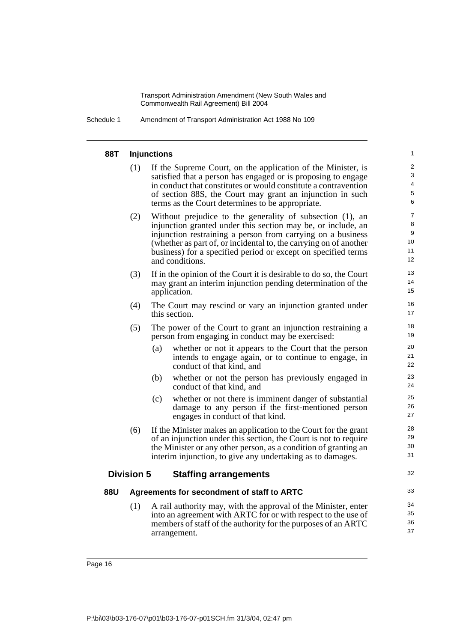Schedule 1 Amendment of Transport Administration Act 1988 No 109

### **88T Injunctions**

| 88T |                   | <b>Injunctions</b>                                                                                                                                                                                                                                                                                                                                | $\mathbf{1}$         |  |  |
|-----|-------------------|---------------------------------------------------------------------------------------------------------------------------------------------------------------------------------------------------------------------------------------------------------------------------------------------------------------------------------------------------|----------------------|--|--|
|     | (1)               | If the Supreme Court, on the application of the Minister, is<br>satisfied that a person has engaged or is proposing to engage<br>in conduct that constitutes or would constitute a contravention<br>of section 88S, the Court may grant an injunction in such<br>terms as the Court determines to be appropriate.                                 |                      |  |  |
|     | (2)               | Without prejudice to the generality of subsection (1), an<br>injunction granted under this section may be, or include, an<br>injunction restraining a person from carrying on a business<br>(whether as part of, or incidental to, the carrying on of another<br>business) for a specified period or except on specified terms<br>and conditions. |                      |  |  |
|     | (3)               | If in the opinion of the Court it is desirable to do so, the Court<br>may grant an interim injunction pending determination of the<br>application.                                                                                                                                                                                                |                      |  |  |
|     | (4)               | The Court may rescind or vary an injunction granted under<br>this section.                                                                                                                                                                                                                                                                        | 16<br>17             |  |  |
|     | (5)               | The power of the Court to grant an injunction restraining a<br>person from engaging in conduct may be exercised:                                                                                                                                                                                                                                  | 18<br>19             |  |  |
|     |                   | (a)<br>whether or not it appears to the Court that the person<br>intends to engage again, or to continue to engage, in<br>conduct of that kind, and                                                                                                                                                                                               | 20<br>21<br>22       |  |  |
|     |                   | whether or not the person has previously engaged in<br>(b)<br>conduct of that kind, and                                                                                                                                                                                                                                                           | 23<br>24             |  |  |
|     |                   | whether or not there is imminent danger of substantial<br>(c)<br>damage to any person if the first-mentioned person<br>engages in conduct of that kind.                                                                                                                                                                                           | 25<br>26<br>27       |  |  |
|     | (6)               | If the Minister makes an application to the Court for the grant<br>of an injunction under this section, the Court is not to require<br>the Minister or any other person, as a condition of granting an<br>interim injunction, to give any undertaking as to damages.                                                                              | 28<br>29<br>30<br>31 |  |  |
|     | <b>Division 5</b> | <b>Staffing arrangements</b>                                                                                                                                                                                                                                                                                                                      | 32                   |  |  |
| 88U |                   | Agreements for secondment of staff to ARTC                                                                                                                                                                                                                                                                                                        | 33                   |  |  |
|     | (1)               | A rail authority may, with the approval of the Minister, enter<br>into an agreement with ARTC for or with respect to the use of<br>members of staff of the authority for the purposes of an ARTC                                                                                                                                                  | 34<br>35<br>36       |  |  |

37

arrangement.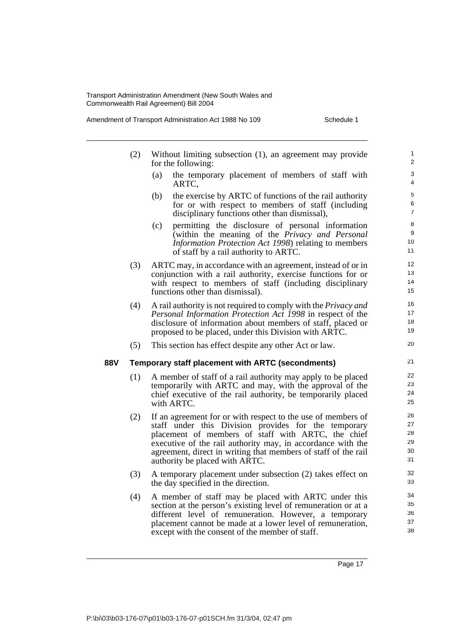Amendment of Transport Administration Act 1988 No 109 Schedule 1

| (2) | Without limiting subsection (1), an agreement may provide |  |
|-----|-----------------------------------------------------------|--|
|     | for the following:                                        |  |

- (a) the temporary placement of members of staff with ARTC,
- (b) the exercise by ARTC of functions of the rail authority for or with respect to members of staff (including disciplinary functions other than dismissal),
- (c) permitting the disclosure of personal information (within the meaning of the *Privacy and Personal Information Protection Act 1998*) relating to members of staff by a rail authority to ARTC.
- (3) ARTC may, in accordance with an agreement, instead of or in conjunction with a rail authority, exercise functions for or with respect to members of staff (including disciplinary functions other than dismissal).
- (4) A rail authority is not required to comply with the *Privacy and Personal Information Protection Act 1998* in respect of the disclosure of information about members of staff, placed or proposed to be placed, under this Division with ARTC.
- (5) This section has effect despite any other Act or law.

#### **88V Temporary staff placement with ARTC (secondments)**

- (1) A member of staff of a rail authority may apply to be placed temporarily with ARTC and may, with the approval of the chief executive of the rail authority, be temporarily placed with ARTC.
- (2) If an agreement for or with respect to the use of members of staff under this Division provides for the temporary placement of members of staff with ARTC, the chief executive of the rail authority may, in accordance with the agreement, direct in writing that members of staff of the rail authority be placed with ARTC.
- (3) A temporary placement under subsection (2) takes effect on the day specified in the direction.
- (4) A member of staff may be placed with ARTC under this section at the person's existing level of remuneration or at a different level of remuneration. However, a temporary placement cannot be made at a lower level of remuneration, except with the consent of the member of staff.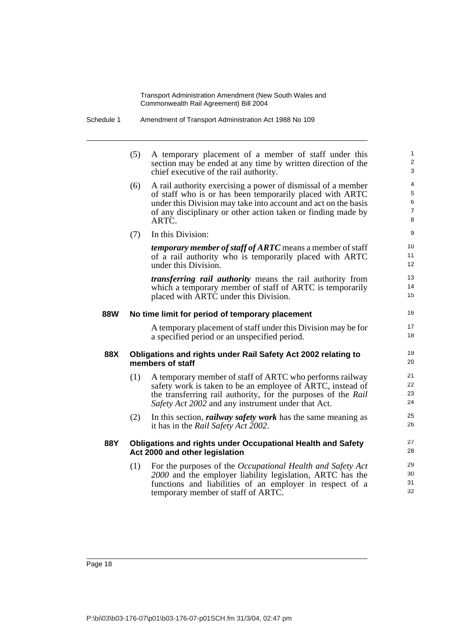|     | (5) | A temporary placement of a member of staff under this<br>section may be ended at any time by written direction of the<br>chief executive of the rail authority.                                                                                                     | $\mathbf{1}$<br>$\overline{2}$<br>3 |
|-----|-----|---------------------------------------------------------------------------------------------------------------------------------------------------------------------------------------------------------------------------------------------------------------------|-------------------------------------|
|     | (6) | A rail authority exercising a power of dismissal of a member<br>of staff who is or has been temporarily placed with ARTC<br>under this Division may take into account and act on the basis<br>of any disciplinary or other action taken or finding made by<br>ARTC. | 4<br>5<br>6<br>$\overline{7}$<br>8  |
|     | (7) | In this Division:                                                                                                                                                                                                                                                   | 9                                   |
|     |     | <i>temporary member of staff of ARTC</i> means a member of staff<br>of a rail authority who is temporarily placed with ARTC<br>under this Division.                                                                                                                 | 10<br>11<br>12                      |
|     |     | <i>transferring rail authority</i> means the rail authority from<br>which a temporary member of staff of ARTC is temporarily<br>placed with ARTC under this Division.                                                                                               | 13<br>14<br>15                      |
| 88W |     | No time limit for period of temporary placement                                                                                                                                                                                                                     | 16                                  |
|     |     | A temporary placement of staff under this Division may be for<br>a specified period or an unspecified period.                                                                                                                                                       | 17<br>18                            |
| 88X |     | Obligations and rights under Rail Safety Act 2002 relating to<br>members of staff                                                                                                                                                                                   | 19<br>20                            |
|     | (1) | A temporary member of staff of ARTC who performs railway<br>safety work is taken to be an employee of ARTC, instead of<br>the transferring rail authority, for the purposes of the Rail<br>Safety Act 2002 and any instrument under that Act.                       | 21<br>22<br>23<br>24                |
|     | (2) | In this section, <i>railway safety work</i> has the same meaning as<br>it has in the <i>Rail Safety Act 2002</i> .                                                                                                                                                  | 25<br>26                            |
| 88Y |     | <b>Obligations and rights under Occupational Health and Safety</b><br>Act 2000 and other legislation                                                                                                                                                                | 27<br>28                            |
|     | (1) | For the purposes of the Occupational Health and Safety Act<br>2000 and the employer liability legislation, ARTC has the<br>functions and liabilities of an employer in respect of a<br>temporary member of staff of ARTC.                                           | 29<br>30<br>31<br>32                |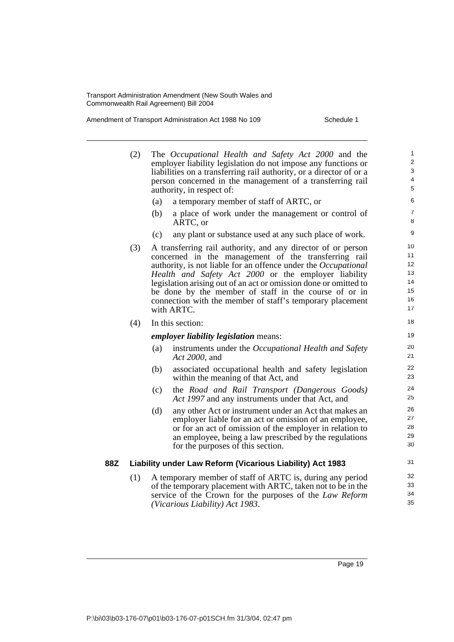Amendment of Transport Administration Act 1988 No 109 Schedule 1

- (2) The *Occupational Health and Safety Act 2000* and the employer liability legislation do not impose any functions or liabilities on a transferring rail authority, or a director of or a person concerned in the management of a transferring rail authority, in respect of:
	- (a) a temporary member of staff of ARTC, or
	- (b) a place of work under the management or control of ARTC, or
	- (c) any plant or substance used at any such place of work.
- (3) A transferring rail authority, and any director of or person concerned in the management of the transferring rail authority, is not liable for an offence under the *Occupational Health and Safety Act 2000* or the employer liability legislation arising out of an act or omission done or omitted to be done by the member of staff in the course of or in connection with the member of staff's temporary placement with ARTC.

#### (4) In this section:

#### *employer liability legislation* means:

- (a) instruments under the *Occupational Health and Safety Act 2000*, and
- (b) associated occupational health and safety legislation within the meaning of that Act, and
- (c) the *Road and Rail Transport (Dangerous Goods) Act 1997* and any instruments under that Act, and
- (d) any other Act or instrument under an Act that makes an employer liable for an act or omission of an employee, or for an act of omission of the employer in relation to an employee, being a law prescribed by the regulations for the purposes of this section.

#### **88Z Liability under Law Reform (Vicarious Liability) Act 1983**

(1) A temporary member of staff of ARTC is, during any period of the temporary placement with ARTC, taken not to be in the service of the Crown for the purposes of the *Law Reform (Vicarious Liability) Act 1983*.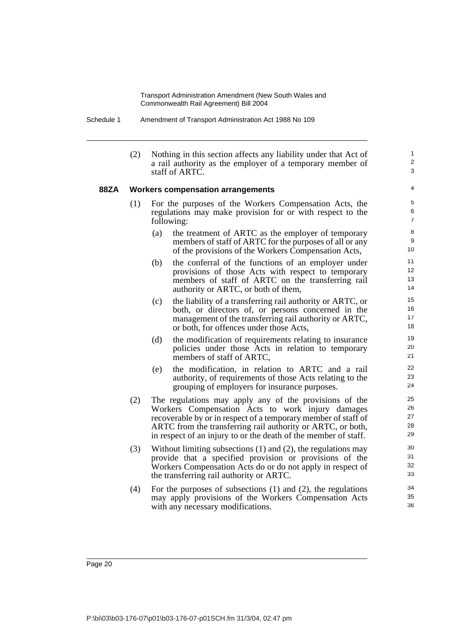| (2) | Nothing in this section affects any liability under that Act of |
|-----|-----------------------------------------------------------------|
|     | a rail authority as the employer of a temporary member of       |
|     | staff of ARTC.                                                  |

1  $\overline{2}$ 3

#### **88ZA Workers compensation arrangements**

| (1) | For the purposes of the Workers Compensation Acts, the    |
|-----|-----------------------------------------------------------|
|     | regulations may make provision for or with respect to the |
|     | following:                                                |

- (a) the treatment of ARTC as the employer of temporary members of staff of ARTC for the purposes of all or any of the provisions of the Workers Compensation Acts,
- (b) the conferral of the functions of an employer under provisions of those Acts with respect to temporary members of staff of ARTC on the transferring rail authority or ARTC, or both of them,
- (c) the liability of a transferring rail authority or ARTC, or both, or directors of, or persons concerned in the management of the transferring rail authority or ARTC, or both, for offences under those Acts,
- (d) the modification of requirements relating to insurance policies under those Acts in relation to temporary members of staff of ARTC,
- (e) the modification, in relation to ARTC and a rail authority, of requirements of those Acts relating to the grouping of employers for insurance purposes.
- (2) The regulations may apply any of the provisions of the Workers Compensation Acts to work injury damages recoverable by or in respect of a temporary member of staff of ARTC from the transferring rail authority or ARTC, or both, in respect of an injury to or the death of the member of staff.
- (3) Without limiting subsections (1) and (2), the regulations may provide that a specified provision or provisions of the Workers Compensation Acts do or do not apply in respect of the transferring rail authority or ARTC.
- (4) For the purposes of subsections (1) and (2), the regulations may apply provisions of the Workers Compensation Acts with any necessary modifications.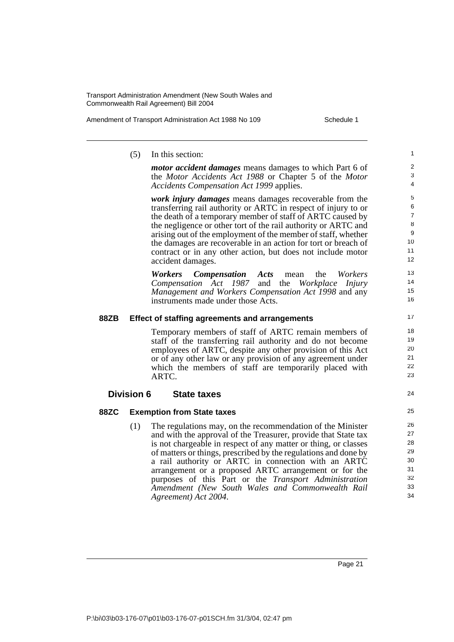Amendment of Transport Administration Act 1988 No 109 Schedule 1

24

(5) In this section:

*motor accident damages* means damages to which Part 6 of the *Motor Accidents Act 1988* or Chapter 5 of the *Motor Accidents Compensation Act 1999* applies.

*work injury damages* means damages recoverable from the transferring rail authority or ARTC in respect of injury to or the death of a temporary member of staff of ARTC caused by the negligence or other tort of the rail authority or ARTC and arising out of the employment of the member of staff, whether the damages are recoverable in an action for tort or breach of contract or in any other action, but does not include motor accident damages.

*Workers Compensation Acts* mean the *Workers Compensation Act 1987* and the *Workplace Injury Management and Workers Compensation Act 1998* and any instruments made under those Acts.

#### **88ZB Effect of staffing agreements and arrangements**

Temporary members of staff of ARTC remain members of staff of the transferring rail authority and do not become employees of ARTC, despite any other provision of this Act or of any other law or any provision of any agreement under which the members of staff are temporarily placed with ARTC.

#### **Division 6 State taxes**

#### **88ZC Exemption from State taxes**

(1) The regulations may, on the recommendation of the Minister and with the approval of the Treasurer, provide that State tax is not chargeable in respect of any matter or thing, or classes of matters or things, prescribed by the regulations and done by a rail authority or ARTC in connection with an ARTC arrangement or a proposed ARTC arrangement or for the purposes of this Part or the *Transport Administration Amendment (New South Wales and Commonwealth Rail Agreement) Act 2004*.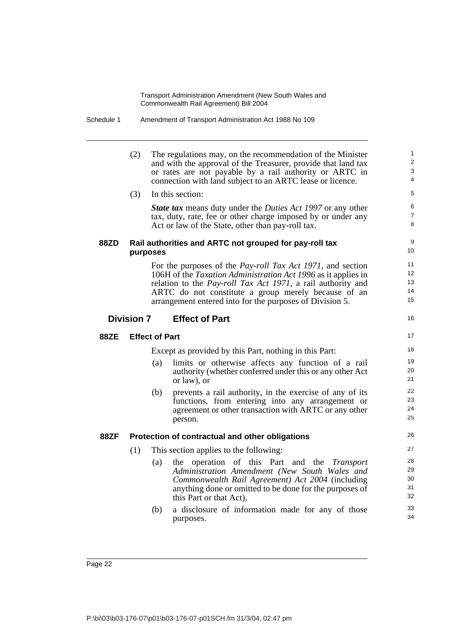| Schedule 1 | Amendment of Transport Administration Act 1988 No 109 |
|------------|-------------------------------------------------------|
|------------|-------------------------------------------------------|

|                                                        | (2)                   |                                                   | The regulations may, on the recommendation of the Minister                | $\mathbf{1}$   |
|--------------------------------------------------------|-----------------------|---------------------------------------------------|---------------------------------------------------------------------------|----------------|
|                                                        |                       |                                                   | and with the approval of the Treasurer, provide that land tax             | 2              |
|                                                        |                       |                                                   | or rates are not payable by a rail authority or ARTC in                   | 3              |
|                                                        |                       |                                                   | connection with land subject to an ARTC lease or licence.                 | 4              |
|                                                        | (3)                   | In this section:                                  |                                                                           | 5              |
|                                                        |                       |                                                   | <b>State tax</b> means duty under the <i>Duties Act 1997</i> or any other | 6              |
|                                                        |                       |                                                   | tax, duty, rate, fee or other charge imposed by or under any              | $\overline{7}$ |
|                                                        |                       | Act or law of the State, other than pay-roll tax. |                                                                           | 8              |
| 88ZD                                                   |                       |                                                   | Rail authorities and ARTC not grouped for pay-roll tax                    | 9              |
|                                                        | purposes              |                                                   |                                                                           | 10             |
|                                                        |                       |                                                   | For the purposes of the <i>Pay-roll Tax Act 1971</i> , and section        | 11             |
|                                                        |                       |                                                   | 106H of the Taxation Administration Act 1996 as it applies in             | 12             |
|                                                        |                       |                                                   | relation to the <i>Pay-roll Tax Act 1971</i> , a rail authority and       | 13             |
|                                                        |                       |                                                   | ARTC do not constitute a group merely because of an                       | 14             |
|                                                        |                       |                                                   | arrangement entered into for the purposes of Division 5.                  | 15             |
|                                                        | <b>Division 7</b>     | <b>Effect of Part</b>                             |                                                                           | 16             |
| 88ZE                                                   | <b>Effect of Part</b> |                                                   |                                                                           |                |
| Except as provided by this Part, nothing in this Part: |                       |                                                   | 18                                                                        |                |
|                                                        |                       | (a)                                               | limits or otherwise affects any function of a rail                        | 19             |
|                                                        |                       |                                                   | authority (whether conferred under this or any other Act                  | 20             |
|                                                        |                       | or law), or                                       |                                                                           | 21             |
|                                                        |                       | (b)                                               | prevents a rail authority, in the exercise of any of its                  | 22             |
|                                                        |                       |                                                   | functions, from entering into any arrangement or                          | 23             |
|                                                        |                       |                                                   | agreement or other transaction with ARTC or any other                     | 24             |
|                                                        |                       | person.                                           |                                                                           | 25             |
| 88ZF                                                   |                       | Protection of contractual and other obligations   |                                                                           | 26             |
|                                                        | (1)                   | This section applies to the following:            |                                                                           | 27             |
|                                                        |                       | (a)                                               | the operation of this Part and the Transport                              | 28             |
|                                                        |                       |                                                   | Administration Amendment (New South Wales and                             | 29             |
|                                                        |                       |                                                   | Commonwealth Rail Agreement) Act 2004 (including                          | 30             |
|                                                        |                       |                                                   | anything done or omitted to be done for the purposes of                   | 31             |
|                                                        |                       | this Part or that Act),                           |                                                                           | 32             |
|                                                        |                       | (b)                                               | a disclosure of information made for any of those                         | 33             |
|                                                        |                       | purposes.                                         |                                                                           | 34             |
|                                                        |                       |                                                   |                                                                           |                |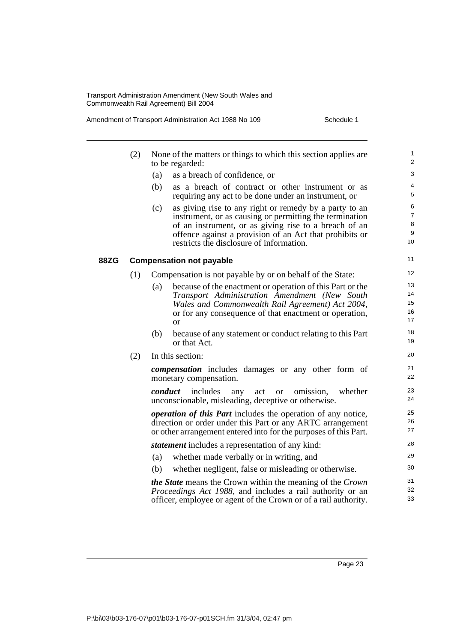Amendment of Transport Administration Act 1988 No 109 Schedule 1

|      | (2) |         | None of the matters or things to which this section applies are<br>to be regarded:                                 | $\mathbf{1}$<br>2   |
|------|-----|---------|--------------------------------------------------------------------------------------------------------------------|---------------------|
|      |     | (a)     | as a breach of confidence, or                                                                                      | 3                   |
|      |     | (b)     | as a breach of contract or other instrument or as                                                                  | 4                   |
|      |     |         | requiring any act to be done under an instrument, or                                                               | 5                   |
|      |     | (c)     | as giving rise to any right or remedy by a party to an                                                             | 6                   |
|      |     |         | instrument, or as causing or permitting the termination                                                            | $\overline{7}$<br>8 |
|      |     |         | of an instrument, or as giving rise to a breach of an<br>offence against a provision of an Act that prohibits or   | 9                   |
|      |     |         | restricts the disclosure of information.                                                                           | 10                  |
| 88ZG |     |         | <b>Compensation not payable</b>                                                                                    | 11                  |
|      | (1) |         | Compensation is not payable by or on behalf of the State:                                                          | 12                  |
|      |     | (a)     | because of the enactment or operation of this Part or the                                                          | 13                  |
|      |     |         | Transport Administration Amendment (New South                                                                      | 14                  |
|      |     |         | Wales and Commonwealth Rail Agreement) Act 2004,                                                                   | 15                  |
|      |     |         | or for any consequence of that enactment or operation,                                                             | 16<br>17            |
|      |     |         | <sub>or</sub>                                                                                                      |                     |
|      |     | (b)     | because of any statement or conduct relating to this Part<br>or that Act.                                          | 18<br>19            |
|      | (2) |         | In this section:                                                                                                   | 20                  |
|      |     |         | <i>compensation</i> includes damages or any other form of<br>monetary compensation.                                | 21<br>22            |
|      |     | conduct | includes<br>whether<br>omission,<br>any<br>act<br><b>or</b><br>unconscionable, misleading, deceptive or otherwise. | 23<br>24            |
|      |     |         | <i>operation of this Part</i> includes the operation of any notice,                                                | 25                  |
|      |     |         | direction or order under this Part or any ARTC arrangement                                                         | 26                  |
|      |     |         | or other arrangement entered into for the purposes of this Part.                                                   | 27                  |
|      |     |         | <i>statement</i> includes a representation of any kind:                                                            | 28                  |
|      |     | (a)     | whether made verbally or in writing, and                                                                           | 29                  |
|      |     | (b)     | whether negligent, false or misleading or otherwise.                                                               | 30                  |
|      |     |         | <b><i>the State</i></b> means the Crown within the meaning of the Crown                                            | 31                  |
|      |     |         | <i>Proceedings Act 1988</i> , and includes a rail authority or an                                                  | 32                  |
|      |     |         | officer, employee or agent of the Crown or of a rail authority.                                                    | 33                  |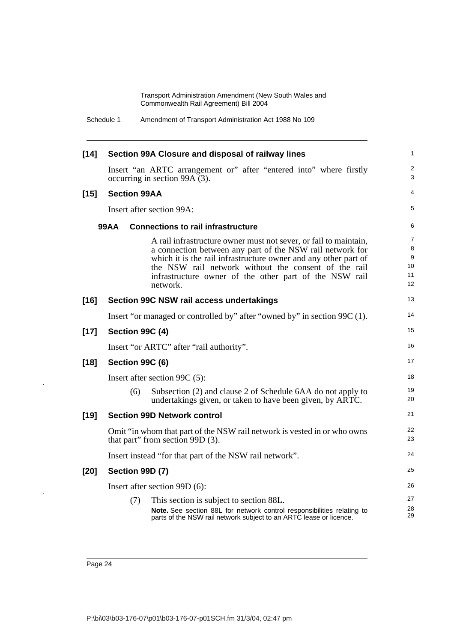Schedule 1 Amendment of Transport Administration Act 1988 No 109

| $[14]$ | Section 99A Closure and disposal of railway lines                                                                                                                                                                                                                                                                              | 1                             |
|--------|--------------------------------------------------------------------------------------------------------------------------------------------------------------------------------------------------------------------------------------------------------------------------------------------------------------------------------|-------------------------------|
|        | Insert "an ARTC arrangement or" after "entered into" where firstly<br>occurring in section 99A (3).                                                                                                                                                                                                                            | 2<br>3                        |
| $[15]$ | <b>Section 99AA</b>                                                                                                                                                                                                                                                                                                            | 4                             |
|        | Insert after section 99A:                                                                                                                                                                                                                                                                                                      | 5                             |
|        | <b>Connections to rail infrastructure</b><br>99AA                                                                                                                                                                                                                                                                              | 6                             |
|        | A rail infrastructure owner must not sever, or fail to maintain,<br>a connection between any part of the NSW rail network for<br>which it is the rail infrastructure owner and any other part of<br>the NSW rail network without the consent of the rail<br>infrastructure owner of the other part of the NSW rail<br>network. | 7<br>8<br>9<br>10<br>11<br>12 |
| $[16]$ | Section 99C NSW rail access undertakings                                                                                                                                                                                                                                                                                       | 13                            |
|        | Insert "or managed or controlled by" after "owned by" in section 99C (1).                                                                                                                                                                                                                                                      | 14                            |
| $[17]$ | Section 99C (4)                                                                                                                                                                                                                                                                                                                | 15                            |
|        | Insert "or ARTC" after "rail authority".                                                                                                                                                                                                                                                                                       | 16                            |
| $[18]$ | Section 99C (6)                                                                                                                                                                                                                                                                                                                | 17                            |
|        | Insert after section 99C (5):                                                                                                                                                                                                                                                                                                  | 18                            |
|        | (6)<br>Subsection (2) and clause 2 of Schedule 6AA do not apply to<br>undertakings given, or taken to have been given, by ARTC.                                                                                                                                                                                                | 19<br>20                      |
| $[19]$ | <b>Section 99D Network control</b>                                                                                                                                                                                                                                                                                             | 21                            |
|        | Omit "in whom that part of the NSW rail network is vested in or who owns<br>that part" from section 99D (3).                                                                                                                                                                                                                   | 22<br>23                      |
|        | Insert instead "for that part of the NSW rail network".                                                                                                                                                                                                                                                                        | 24                            |
| $[20]$ | <b>Section 99D (7)</b>                                                                                                                                                                                                                                                                                                         | 25                            |
|        | Insert after section 99D (6):                                                                                                                                                                                                                                                                                                  | 26                            |
|        | This section is subject to section 88L.<br>(7)<br>Note. See section 88L for network control responsibilities relating to<br>parts of the NSW rail network subject to an ARTC lease or licence.                                                                                                                                 | 27<br>28<br>29                |
|        |                                                                                                                                                                                                                                                                                                                                |                               |

P:\bi\03\b03-176-07\p01\b03-176-07-p01SCH.fm 31/3/04, 02:47 pm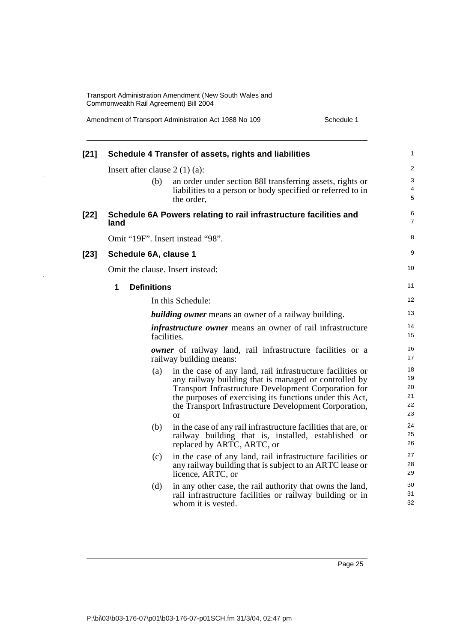Amendment of Transport Administration Act 1988 No 109 Schedule 1

| $[21]$ |                                 |                    | Schedule 4 Transfer of assets, rights and liabilities                                                                                                                                                                                                                                                  | 1                                |
|--------|---------------------------------|--------------------|--------------------------------------------------------------------------------------------------------------------------------------------------------------------------------------------------------------------------------------------------------------------------------------------------------|----------------------------------|
|        | Insert after clause $2(1)(a)$ : |                    |                                                                                                                                                                                                                                                                                                        | 2                                |
|        |                                 | (b)                | an order under section 88I transferring assets, rights or<br>liabilities to a person or body specified or referred to in<br>the order,                                                                                                                                                                 | 3<br>4<br>5                      |
| $[22]$ | land                            |                    | Schedule 6A Powers relating to rail infrastructure facilities and                                                                                                                                                                                                                                      | 6<br>7                           |
|        |                                 |                    | Omit "19F". Insert instead "98".                                                                                                                                                                                                                                                                       | 8                                |
| $[23]$ | Schedule 6A, clause 1           |                    |                                                                                                                                                                                                                                                                                                        | 9                                |
|        |                                 |                    | Omit the clause. Insert instead:                                                                                                                                                                                                                                                                       | 10                               |
|        | 1                               | <b>Definitions</b> |                                                                                                                                                                                                                                                                                                        | 11                               |
|        |                                 |                    | In this Schedule:                                                                                                                                                                                                                                                                                      | 12                               |
|        |                                 |                    | <b>building owner</b> means an owner of a railway building.                                                                                                                                                                                                                                            | 13                               |
|        |                                 | facilities.        | <i>infrastructure owner</i> means an owner of rail infrastructure                                                                                                                                                                                                                                      | 14<br>15                         |
|        |                                 |                    | owner of railway land, rail infrastructure facilities or a<br>railway building means:                                                                                                                                                                                                                  | 16<br>17                         |
|        |                                 | (a)                | in the case of any land, rail infrastructure facilities or<br>any railway building that is managed or controlled by<br>Transport Infrastructure Development Corporation for<br>the purposes of exercising its functions under this Act,<br>the Transport Infrastructure Development Corporation,<br>or | 18<br>19<br>20<br>21<br>22<br>23 |
|        |                                 | (b)                | in the case of any rail infrastructure facilities that are, or<br>railway building that is, installed, established or<br>replaced by ARTC, ARTC, or                                                                                                                                                    | 24<br>25<br>26                   |
|        |                                 | (c)                | in the case of any land, rail infrastructure facilities or<br>any railway building that is subject to an ARTC lease or<br>licence, ARTC, or                                                                                                                                                            | 27<br>28<br>29                   |
|        |                                 | (d)                | in any other case, the rail authority that owns the land,<br>rail infrastructure facilities or railway building or in<br>whom it is vested.                                                                                                                                                            | 30<br>31<br>32                   |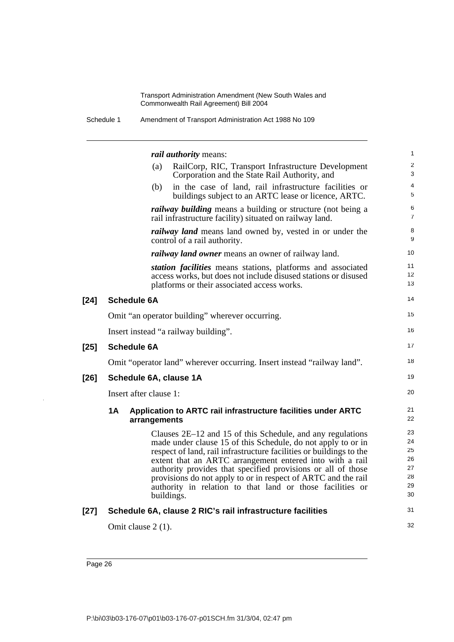Schedule 1 Amendment of Transport Administration Act 1988 No 109

*rail authority* means: (a) RailCorp, RIC, Transport Infrastructure Development Corporation and the State Rail Authority, and (b) in the case of land, rail infrastructure facilities or buildings subject to an ARTC lease or licence, ARTC. *railway building* means a building or structure (not being a rail infrastructure facility) situated on railway land. *railway land* means land owned by, vested in or under the control of a rail authority. *railway land owner* means an owner of railway land. *station facilities* means stations, platforms and associated access works, but does not include disused stations or disused platforms or their associated access works. **[24] Schedule 6A**  Omit "an operator building" wherever occurring. Insert instead "a railway building". **[25] Schedule 6A** Omit "operator land" wherever occurring. Insert instead "railway land". **[26] Schedule 6A, clause 1A** Insert after clause 1: **1A Application to ARTC rail infrastructure facilities under ARTC arrangements** Clauses 2E–12 and 15 of this Schedule, and any regulations made under clause 15 of this Schedule, do not apply to or in respect of land, rail infrastructure facilities or buildings to the extent that an ARTC arrangement entered into with a rail authority provides that specified provisions or all of those provisions do not apply to or in respect of ARTC and the rail authority in relation to that land or those facilities or buildings. **[27] Schedule 6A, clause 2 RIC's rail infrastructure facilities** Omit clause 2 (1). 1  $\mathfrak{p}$ 3 4 5 6 7 8 9 10 11 12 13 14 15 16 17 18 19 20 21 22 23 24 25 26 27 28 29 30 31 32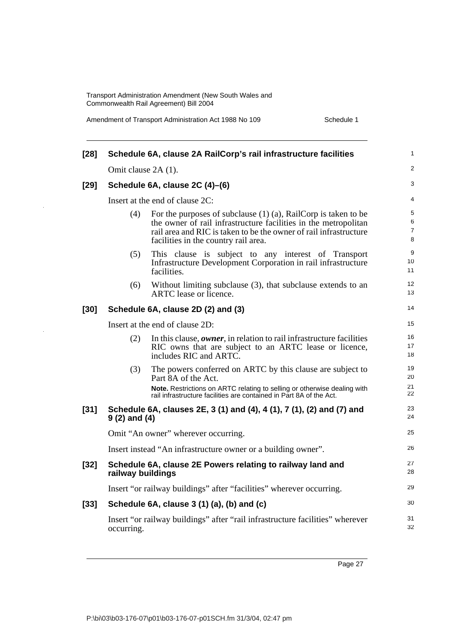Amendment of Transport Administration Act 1988 No 109 Schedule 1

| $[28]$ | Schedule 6A, clause 2A RailCorp's rail infrastructure facilities                                                                                                                                                                                           |                                                                                                                                                                  |                |  |
|--------|------------------------------------------------------------------------------------------------------------------------------------------------------------------------------------------------------------------------------------------------------------|------------------------------------------------------------------------------------------------------------------------------------------------------------------|----------------|--|
|        | Omit clause 2A (1).                                                                                                                                                                                                                                        |                                                                                                                                                                  | $\overline{c}$ |  |
| $[29]$ | Schedule 6A, clause 2C (4)-(6)                                                                                                                                                                                                                             |                                                                                                                                                                  |                |  |
|        |                                                                                                                                                                                                                                                            | Insert at the end of clause 2C:                                                                                                                                  | 4              |  |
|        | (4)<br>For the purposes of subclause $(1)$ $(a)$ , RailCorp is taken to be<br>the owner of rail infrastructure facilities in the metropolitan<br>rail area and RIC is taken to be the owner of rail infrastructure<br>facilities in the country rail area. |                                                                                                                                                                  |                |  |
|        | (5)                                                                                                                                                                                                                                                        | This clause is subject to any interest of Transport<br>Infrastructure Development Corporation in rail infrastructure<br>facilities.                              | 9<br>10<br>11  |  |
|        | (6)                                                                                                                                                                                                                                                        | Without limiting subclause (3), that subclause extends to an<br>ARTC lease or licence.                                                                           | 12<br>13       |  |
| [30]   |                                                                                                                                                                                                                                                            | Schedule 6A, clause 2D (2) and (3)                                                                                                                               | 14             |  |
|        | Insert at the end of clause 2D:                                                                                                                                                                                                                            |                                                                                                                                                                  |                |  |
|        | (2)                                                                                                                                                                                                                                                        | In this clause, <i>owner</i> , in relation to rail infrastructure facilities<br>RIC owns that are subject to an ARTC lease or licence,<br>includes RIC and ARTC. | 16<br>17<br>18 |  |
|        | (3)                                                                                                                                                                                                                                                        | The powers conferred on ARTC by this clause are subject to<br>Part 8A of the Act.                                                                                | 19<br>20       |  |
|        |                                                                                                                                                                                                                                                            | Note. Restrictions on ARTC relating to selling or otherwise dealing with rail infrastructure facilities are contained in Part 8A of the Act.                     | 21<br>22       |  |
| $[31]$ | $9(2)$ and $(4)$                                                                                                                                                                                                                                           | Schedule 6A, clauses 2E, 3 (1) and (4), 4 (1), 7 (1), (2) and (7) and                                                                                            | 23<br>24       |  |
|        |                                                                                                                                                                                                                                                            | Omit "An owner" wherever occurring.                                                                                                                              | 25             |  |
|        |                                                                                                                                                                                                                                                            | Insert instead "An infrastructure owner or a building owner".                                                                                                    | 26             |  |
| $[32]$ | railway buildings                                                                                                                                                                                                                                          | Schedule 6A, clause 2E Powers relating to railway land and                                                                                                       | 27<br>28       |  |
|        |                                                                                                                                                                                                                                                            | Insert "or railway buildings" after "facilities" wherever occurring.                                                                                             | 29             |  |
| $[33]$ |                                                                                                                                                                                                                                                            | Schedule 6A, clause 3 (1) (a), (b) and (c)                                                                                                                       | 30             |  |
|        | occurring.                                                                                                                                                                                                                                                 | Insert "or railway buildings" after "rail infrastructure facilities" wherever                                                                                    | 31<br>32       |  |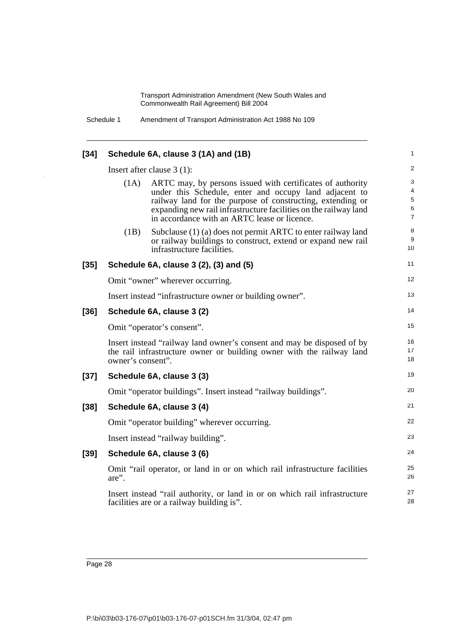Schedule 1 Amendment of Transport Administration Act 1988 No 109

| $[34]$ | Schedule 6A, clause 3 (1A) and (1B) |                                                                                                                                                                                                                                                                                                        |                       |  |
|--------|-------------------------------------|--------------------------------------------------------------------------------------------------------------------------------------------------------------------------------------------------------------------------------------------------------------------------------------------------------|-----------------------|--|
|        | Insert after clause $3(1)$ :        |                                                                                                                                                                                                                                                                                                        |                       |  |
|        | (1A)                                | ARTC may, by persons issued with certificates of authority<br>under this Schedule, enter and occupy land adjacent to<br>railway land for the purpose of constructing, extending or<br>expanding new rail infrastructure facilities on the railway land<br>in accordance with an ARTC lease or licence. | 3<br>4<br>5<br>6<br>7 |  |
|        | (1B)                                | Subclause (1) (a) does not permit ARTC to enter railway land<br>or railway buildings to construct, extend or expand new rail<br>infrastructure facilities.                                                                                                                                             | 8<br>9<br>10          |  |
| $[35]$ |                                     | Schedule 6A, clause 3 (2), (3) and (5)                                                                                                                                                                                                                                                                 | 11                    |  |
|        |                                     | Omit "owner" wherever occurring.                                                                                                                                                                                                                                                                       | 12                    |  |
|        |                                     | Insert instead "infrastructure owner or building owner".                                                                                                                                                                                                                                               | 13                    |  |
| $[36]$ |                                     | Schedule 6A, clause 3 (2)                                                                                                                                                                                                                                                                              | 14                    |  |
|        |                                     | Omit "operator's consent".                                                                                                                                                                                                                                                                             | 15                    |  |
|        | owner's consent".                   | Insert instead "railway land owner's consent and may be disposed of by<br>the rail infrastructure owner or building owner with the railway land                                                                                                                                                        | 16<br>17<br>18        |  |
| $[37]$ |                                     | Schedule 6A, clause 3 (3)                                                                                                                                                                                                                                                                              | 19                    |  |
|        |                                     | Omit "operator buildings". Insert instead "railway buildings".                                                                                                                                                                                                                                         | 20                    |  |
| $[38]$ |                                     | Schedule 6A, clause 3 (4)                                                                                                                                                                                                                                                                              | 21                    |  |
|        |                                     | Omit "operator building" wherever occurring.                                                                                                                                                                                                                                                           | 22                    |  |
|        |                                     | Insert instead "railway building".                                                                                                                                                                                                                                                                     | 23                    |  |
| $[39]$ |                                     | Schedule 6A, clause 3 (6)                                                                                                                                                                                                                                                                              | 24                    |  |
|        | are".                               | Omit "rail operator, or land in or on which rail infrastructure facilities                                                                                                                                                                                                                             | 25<br>26              |  |
|        |                                     | Insert instead "rail authority, or land in or on which rail infrastructure<br>facilities are or a railway building is".                                                                                                                                                                                | 27<br>28              |  |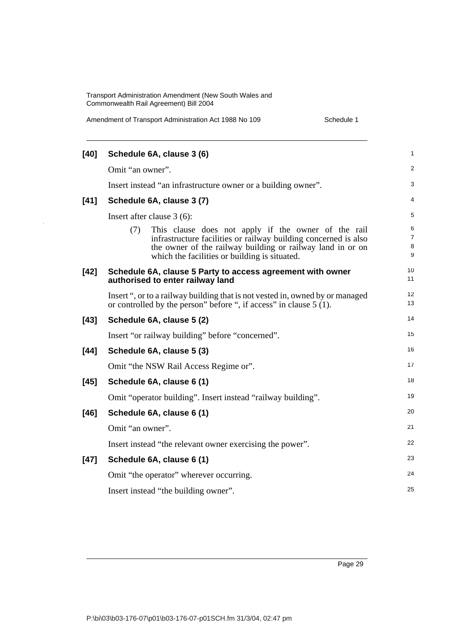| Amendment of Transport Administration Act 1988 No 109 |  |  |  |
|-------------------------------------------------------|--|--|--|
|                                                       |  |  |  |

i.

Schedule 1

| $[40]$ | Schedule 6A, clause 3 (6)                                                                                                                                                                                                                    | 1                             |
|--------|----------------------------------------------------------------------------------------------------------------------------------------------------------------------------------------------------------------------------------------------|-------------------------------|
|        | Omit "an owner".                                                                                                                                                                                                                             | 2                             |
|        | Insert instead "an infrastructure owner or a building owner".                                                                                                                                                                                | 3                             |
| [41]   | Schedule 6A, clause 3 (7)                                                                                                                                                                                                                    | 4                             |
|        | Insert after clause $3(6)$ :                                                                                                                                                                                                                 | 5                             |
|        | This clause does not apply if the owner of the rail<br>(7)<br>infrastructure facilities or railway building concerned is also<br>the owner of the railway building or railway land in or on<br>which the facilities or building is situated. | 6<br>$\overline{7}$<br>8<br>9 |
| $[42]$ | Schedule 6A, clause 5 Party to access agreement with owner<br>authorised to enter railway land                                                                                                                                               | 10<br>11                      |
|        | Insert ", or to a railway building that is not vested in, owned by or managed<br>or controlled by the person" before ", if access" in clause $5(1)$ .                                                                                        | 12<br>13                      |
| $[43]$ | Schedule 6A, clause 5 (2)                                                                                                                                                                                                                    | 14                            |
|        | Insert "or railway building" before "concerned".                                                                                                                                                                                             | 15                            |
| [44]   | Schedule 6A, clause 5 (3)                                                                                                                                                                                                                    | 16                            |
|        | Omit "the NSW Rail Access Regime or".                                                                                                                                                                                                        | 17                            |
| $[45]$ | Schedule 6A, clause 6 (1)                                                                                                                                                                                                                    | 18                            |
|        | Omit "operator building". Insert instead "railway building".                                                                                                                                                                                 | 19                            |
| $[46]$ | Schedule 6A, clause 6 (1)                                                                                                                                                                                                                    | 20                            |
|        | Omit "an owner".                                                                                                                                                                                                                             | 21                            |
|        | Insert instead "the relevant owner exercising the power".                                                                                                                                                                                    | 22                            |
| $[47]$ | Schedule 6A, clause 6 (1)                                                                                                                                                                                                                    | 23                            |
|        | Omit "the operator" wherever occurring.                                                                                                                                                                                                      | 24                            |
|        | Insert instead "the building owner".                                                                                                                                                                                                         | 25                            |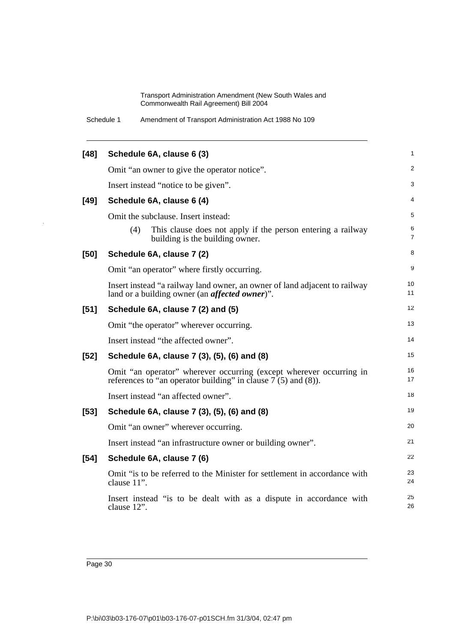Schedule 1 Amendment of Transport Administration Act 1988 No 109

| $[48]$ | Schedule 6A, clause 6 (3)                                                                                                                 | 1                   |
|--------|-------------------------------------------------------------------------------------------------------------------------------------------|---------------------|
|        | Omit "an owner to give the operator notice".                                                                                              | 2                   |
|        | Insert instead "notice to be given".                                                                                                      | 3                   |
| $[49]$ | Schedule 6A, clause 6 (4)                                                                                                                 | 4                   |
|        | Omit the subclause. Insert instead:                                                                                                       | 5                   |
|        | (4)<br>This clause does not apply if the person entering a railway<br>building is the building owner.                                     | 6<br>$\overline{7}$ |
| $[50]$ | Schedule 6A, clause 7 (2)                                                                                                                 | 8                   |
|        | Omit "an operator" where firstly occurring.                                                                                               | 9                   |
|        | Insert instead "a railway land owner, an owner of land adjacent to railway<br>land or a building owner (an <i>affected owner</i> )".      | 10<br>11            |
| $[51]$ | Schedule 6A, clause 7 (2) and (5)                                                                                                         | 12                  |
|        | Omit "the operator" wherever occurring.                                                                                                   | 13                  |
|        | Insert instead "the affected owner".                                                                                                      | 14                  |
| $[52]$ | Schedule 6A, clause 7 (3), (5), (6) and (8)                                                                                               | 15                  |
|        | Omit "an operator" wherever occurring (except wherever occurring in<br>references to "an operator building" in clause $7(5)$ and $(8)$ ). | 16<br>17            |
|        | Insert instead "an affected owner".                                                                                                       | 18                  |
| $[53]$ | Schedule 6A, clause 7 (3), (5), (6) and (8)                                                                                               | 19                  |
|        | Omit "an owner" wherever occurring.                                                                                                       | 20                  |
|        | Insert instead "an infrastructure owner or building owner".                                                                               | 21                  |
| $[54]$ | Schedule 6A, clause 7 (6)                                                                                                                 | 22                  |
|        | Omit "is to be referred to the Minister for settlement in accordance with<br>clause 11".                                                  | 23<br>24            |
|        | Insert instead "is to be dealt with as a dispute in accordance with<br>clause 12".                                                        | 25<br>26            |
|        |                                                                                                                                           |                     |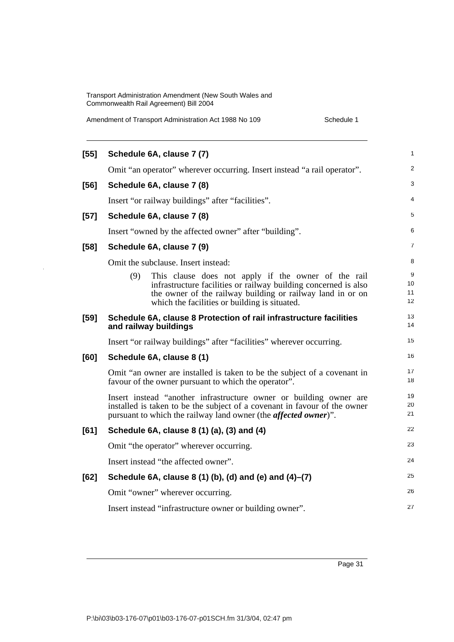l,

| Amendment of Transport Administration Act 1988 No 109 | Schedule 1 |
|-------------------------------------------------------|------------|
|-------------------------------------------------------|------------|

| $[55]$ | Schedule 6A, clause 7 (7)                                                                                                                                                                                                                    | 1                   |
|--------|----------------------------------------------------------------------------------------------------------------------------------------------------------------------------------------------------------------------------------------------|---------------------|
|        | Omit "an operator" wherever occurring. Insert instead "a rail operator".                                                                                                                                                                     | 2                   |
| [56]   | Schedule 6A, clause 7 (8)                                                                                                                                                                                                                    | 3                   |
|        | Insert "or railway buildings" after "facilities".                                                                                                                                                                                            | 4                   |
| $[57]$ | Schedule 6A, clause 7 (8)                                                                                                                                                                                                                    | 5                   |
|        | Insert "owned by the affected owner" after "building".                                                                                                                                                                                       | 6                   |
| $[58]$ | Schedule 6A, clause 7 (9)                                                                                                                                                                                                                    | 7                   |
|        | Omit the subclause. Insert instead:                                                                                                                                                                                                          | 8                   |
|        | (9)<br>This clause does not apply if the owner of the rail<br>infrastructure facilities or railway building concerned is also<br>the owner of the railway building or railway land in or on<br>which the facilities or building is situated. | 9<br>10<br>11<br>12 |
| $[59]$ | Schedule 6A, clause 8 Protection of rail infrastructure facilities<br>and railway buildings                                                                                                                                                  | 13<br>14            |
|        | Insert "or railway buildings" after "facilities" wherever occurring.                                                                                                                                                                         | 15                  |
| [60]   | Schedule 6A, clause 8 (1)                                                                                                                                                                                                                    | 16                  |
|        | Omit "an owner are installed is taken to be the subject of a covenant in<br>favour of the owner pursuant to which the operator".                                                                                                             | 17<br>18            |
|        | Insert instead "another infrastructure owner or building owner are<br>installed is taken to be the subject of a covenant in favour of the owner<br>pursuant to which the railway land owner (the <i>affected owner</i> )".                   | 19<br>20<br>21      |
| [61]   | Schedule 6A, clause 8 (1) (a), (3) and (4)                                                                                                                                                                                                   | 22                  |
|        | Omit "the operator" wherever occurring.                                                                                                                                                                                                      | 23                  |
|        | Insert instead "the affected owner".                                                                                                                                                                                                         | 24                  |
| [62]   | Schedule 6A, clause 8 (1) (b), (d) and (e) and $(4)$ – $(7)$                                                                                                                                                                                 | 25                  |
|        | Omit "owner" wherever occurring.                                                                                                                                                                                                             | 26                  |
|        | Insert instead "infrastructure owner or building owner".                                                                                                                                                                                     | 27                  |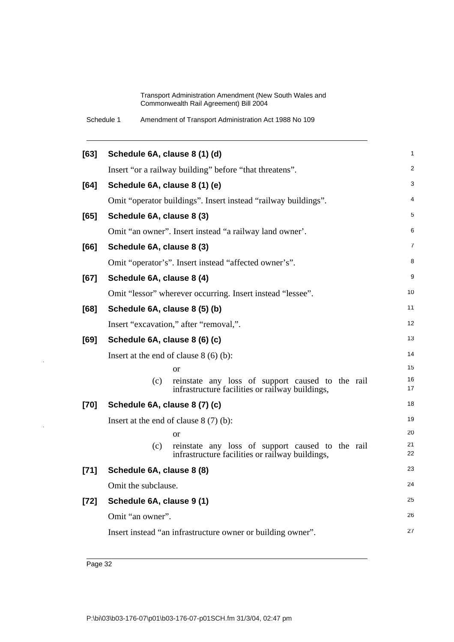| Schedule 1 | Amendment of Transport Administration Act 1988 No 109 |
|------------|-------------------------------------------------------|
|------------|-------------------------------------------------------|

| $[63]$ | Schedule 6A, clause 8 (1) (d)                                                                              | 1        |  |  |
|--------|------------------------------------------------------------------------------------------------------------|----------|--|--|
|        | Insert "or a railway building" before "that threatens".                                                    | 2        |  |  |
| [64]   | Schedule 6A, clause 8 (1) (e)                                                                              | 3        |  |  |
|        | Omit "operator buildings". Insert instead "railway buildings".                                             | 4        |  |  |
| $[65]$ | Schedule 6A, clause 8 (3)                                                                                  | 5        |  |  |
|        | Omit "an owner". Insert instead "a railway land owner'.                                                    | 6        |  |  |
| [66]   | Schedule 6A, clause 8 (3)                                                                                  | 7        |  |  |
|        | Omit "operator's". Insert instead "affected owner's".                                                      | 8        |  |  |
| [67]   | Schedule 6A, clause 8 (4)                                                                                  | 9        |  |  |
|        | Omit "lessor" wherever occurring. Insert instead "lessee".                                                 | 10       |  |  |
| $[68]$ | Schedule 6A, clause 8 (5) (b)                                                                              | 11       |  |  |
|        | Insert "excavation," after "removal,".                                                                     | 12       |  |  |
| [69]   | Schedule 6A, clause 8 (6) (c)                                                                              |          |  |  |
|        | Insert at the end of clause $8(6)(b)$ :                                                                    | 14       |  |  |
|        | <b>or</b>                                                                                                  | 15       |  |  |
|        | reinstate any loss of support caused to the rail<br>(c)<br>infrastructure facilities or railway buildings, | 16<br>17 |  |  |
| [70]   | Schedule 6A, clause 8 (7) (c)                                                                              | 18       |  |  |
|        | Insert at the end of clause $8(7)(b)$ :                                                                    | 19       |  |  |
|        | <b>or</b>                                                                                                  | 20       |  |  |
|        | reinstate any loss of support caused to the rail<br>(c)<br>infrastructure facilities or railway buildings, | 21<br>22 |  |  |
| $[71]$ | Schedule 6A, clause 8 (8)                                                                                  | 23       |  |  |
|        | Omit the subclause.                                                                                        | 24       |  |  |
| $[72]$ | Schedule 6A, clause 9 (1)                                                                                  | 25       |  |  |
|        | Omit "an owner".                                                                                           | 26       |  |  |
|        | Insert instead "an infrastructure owner or building owner".                                                | 27       |  |  |
|        |                                                                                                            |          |  |  |

Page 32

l,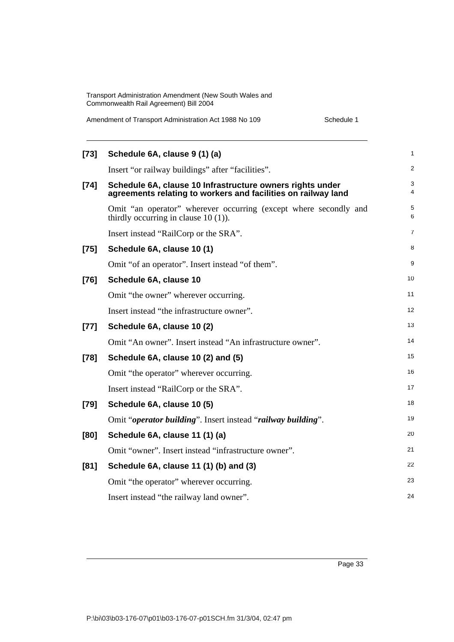| Amendment of Transport Administration Act 1988 No 109 |  |
|-------------------------------------------------------|--|
|-------------------------------------------------------|--|

Schedule 1

| $[73]$ | Schedule 6A, clause 9 (1) (a)                                                                                              | 1      |
|--------|----------------------------------------------------------------------------------------------------------------------------|--------|
|        | Insert "or railway buildings" after "facilities".                                                                          | 2      |
| $[74]$ | Schedule 6A, clause 10 Infrastructure owners rights under<br>agreements relating to workers and facilities on railway land | 3<br>4 |
|        | Omit "an operator" wherever occurring (except where secondly and<br>thirdly occurring in clause $10(1)$ ).                 | 5<br>6 |
|        | Insert instead "RailCorp or the SRA".                                                                                      | 7      |
| $[75]$ | Schedule 6A, clause 10 (1)                                                                                                 | 8      |
|        | Omit "of an operator". Insert instead "of them".                                                                           | 9      |
| $[76]$ | Schedule 6A, clause 10                                                                                                     | 10     |
|        | Omit "the owner" wherever occurring.                                                                                       | 11     |
|        | Insert instead "the infrastructure owner".                                                                                 | 12     |
| $[77]$ | Schedule 6A, clause 10 (2)                                                                                                 | 13     |
|        | Omit "An owner". Insert instead "An infrastructure owner".                                                                 | 14     |
| $[78]$ | Schedule 6A, clause 10 (2) and (5)                                                                                         | 15     |
|        | Omit "the operator" wherever occurring.                                                                                    | 16     |
|        | Insert instead "RailCorp or the SRA".                                                                                      | 17     |
| [79]   | Schedule 6A, clause 10 (5)                                                                                                 | 18     |
|        | Omit "operator building". Insert instead "railway building".                                                               | 19     |
| [80]   | Schedule 6A, clause 11 (1) (a)                                                                                             | 20     |
|        | Omit "owner". Insert instead "infrastructure owner".                                                                       | 21     |
| [81]   | Schedule 6A, clause 11 (1) (b) and (3)                                                                                     | 22     |
|        | Omit "the operator" wherever occurring.                                                                                    | 23     |
|        | Insert instead "the railway land owner".                                                                                   | 24     |
|        |                                                                                                                            |        |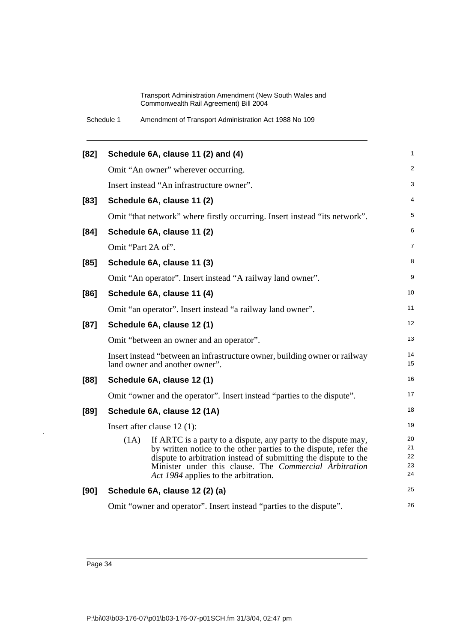| Schedule 1 | Amendment of Transport Administration Act 1988 No 109 |
|------------|-------------------------------------------------------|
|------------|-------------------------------------------------------|

| $[82]$ |                               | Schedule 6A, clause 11 (2) and (4)                                                                                                                                                                                                                                                                      | 1                          |
|--------|-------------------------------|---------------------------------------------------------------------------------------------------------------------------------------------------------------------------------------------------------------------------------------------------------------------------------------------------------|----------------------------|
|        |                               | Omit "An owner" wherever occurring.                                                                                                                                                                                                                                                                     | 2                          |
|        |                               | Insert instead "An infrastructure owner".                                                                                                                                                                                                                                                               | 3                          |
| [83]   |                               | Schedule 6A, clause 11 (2)                                                                                                                                                                                                                                                                              | 4                          |
|        |                               | Omit "that network" where firstly occurring. Insert instead "its network".                                                                                                                                                                                                                              | 5                          |
| [84]   |                               | Schedule 6A, clause 11 (2)                                                                                                                                                                                                                                                                              | 6                          |
|        | Omit "Part 2A of".            |                                                                                                                                                                                                                                                                                                         | 7                          |
| [85]   |                               | Schedule 6A, clause 11 (3)                                                                                                                                                                                                                                                                              | 8                          |
|        |                               | Omit "An operator". Insert instead "A railway land owner".                                                                                                                                                                                                                                              | 9                          |
| [86]   |                               | Schedule 6A, clause 11 (4)                                                                                                                                                                                                                                                                              | 10                         |
|        |                               | Omit "an operator". Insert instead "a railway land owner".                                                                                                                                                                                                                                              | 11                         |
| $[87]$ |                               | Schedule 6A, clause 12 (1)                                                                                                                                                                                                                                                                              | 12                         |
|        |                               | Omit "between an owner and an operator".                                                                                                                                                                                                                                                                | 13                         |
|        |                               | Insert instead "between an infrastructure owner, building owner or railway<br>land owner and another owner".                                                                                                                                                                                            | 14<br>15                   |
| [88]   |                               | Schedule 6A, clause 12 (1)                                                                                                                                                                                                                                                                              | 16                         |
|        |                               | Omit "owner and the operator". Insert instead "parties to the dispute".                                                                                                                                                                                                                                 | 17                         |
| [89]   |                               | Schedule 6A, clause 12 (1A)                                                                                                                                                                                                                                                                             | 18                         |
|        | Insert after clause $12(1)$ : |                                                                                                                                                                                                                                                                                                         |                            |
|        | (1A)                          | If ARTC is a party to a dispute, any party to the dispute may,<br>by written notice to the other parties to the dispute, refer the<br>dispute to arbitration instead of submitting the dispute to the<br>Minister under this clause. The Commercial Arbitration<br>Act 1984 applies to the arbitration. | 20<br>21<br>22<br>23<br>24 |
| [90]   |                               | Schedule 6A, clause 12 (2) (a)                                                                                                                                                                                                                                                                          | 25                         |
|        |                               | Omit "owner and operator". Insert instead "parties to the dispute".                                                                                                                                                                                                                                     | 26                         |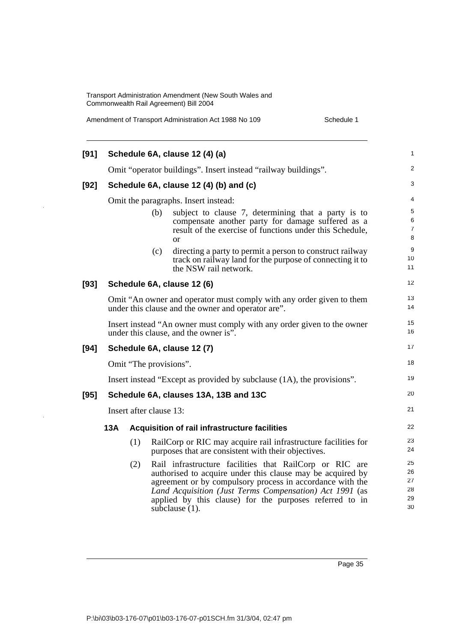| [91]   | Schedule 6A, clause 12 (4) (a)                                                                                             |                         |     |                                                                                                                                                                                                                                                                                                                            |                                  |
|--------|----------------------------------------------------------------------------------------------------------------------------|-------------------------|-----|----------------------------------------------------------------------------------------------------------------------------------------------------------------------------------------------------------------------------------------------------------------------------------------------------------------------------|----------------------------------|
|        |                                                                                                                            |                         |     | Omit "operator buildings". Insert instead "railway buildings".                                                                                                                                                                                                                                                             | 2                                |
| $[92]$ |                                                                                                                            |                         |     | Schedule 6A, clause 12 (4) (b) and (c)                                                                                                                                                                                                                                                                                     | 3                                |
|        | Omit the paragraphs. Insert instead:                                                                                       |                         |     | 4                                                                                                                                                                                                                                                                                                                          |                                  |
|        |                                                                                                                            |                         | (b) | subject to clause 7, determining that a party is to<br>compensate another party for damage suffered as a<br>result of the exercise of functions under this Schedule,<br><b>or</b>                                                                                                                                          | 5<br>6<br>$\overline{7}$<br>8    |
|        |                                                                                                                            |                         | (c) | directing a party to permit a person to construct railway<br>track on railway land for the purpose of connecting it to<br>the NSW rail network.                                                                                                                                                                            | 9<br>10<br>11                    |
| $[93]$ |                                                                                                                            |                         |     | Schedule 6A, clause 12 (6)                                                                                                                                                                                                                                                                                                 | 12                               |
|        | Omit "An owner and operator must comply with any order given to them<br>under this clause and the owner and operator are". |                         |     |                                                                                                                                                                                                                                                                                                                            |                                  |
|        |                                                                                                                            |                         |     | Insert instead "An owner must comply with any order given to the owner<br>under this clause, and the owner is".                                                                                                                                                                                                            | 15<br>16                         |
| $[94]$ | Schedule 6A, clause 12 (7)                                                                                                 |                         |     |                                                                                                                                                                                                                                                                                                                            | 17                               |
|        | Omit "The provisions".                                                                                                     |                         |     |                                                                                                                                                                                                                                                                                                                            |                                  |
|        | Insert instead "Except as provided by subclause (1A), the provisions".                                                     |                         |     |                                                                                                                                                                                                                                                                                                                            |                                  |
| $[95]$ |                                                                                                                            |                         |     | Schedule 6A, clauses 13A, 13B and 13C                                                                                                                                                                                                                                                                                      | 20                               |
|        |                                                                                                                            | Insert after clause 13: |     |                                                                                                                                                                                                                                                                                                                            | 21                               |
|        | 13A                                                                                                                        |                         |     | Acquisition of rail infrastructure facilities                                                                                                                                                                                                                                                                              | 22                               |
|        |                                                                                                                            | (1)                     |     | RailCorp or RIC may acquire rail infrastructure facilities for<br>purposes that are consistent with their objectives.                                                                                                                                                                                                      | 23<br>24                         |
|        |                                                                                                                            | (2)                     |     | Rail infrastructure facilities that RailCorp or RIC are<br>authorised to acquire under this clause may be acquired by<br>agreement or by compulsory process in accordance with the<br>Land Acquisition (Just Terms Compensation) Act 1991 (as<br>applied by this clause) for the purposes referred to in<br>subclause (1). | 25<br>26<br>27<br>28<br>29<br>30 |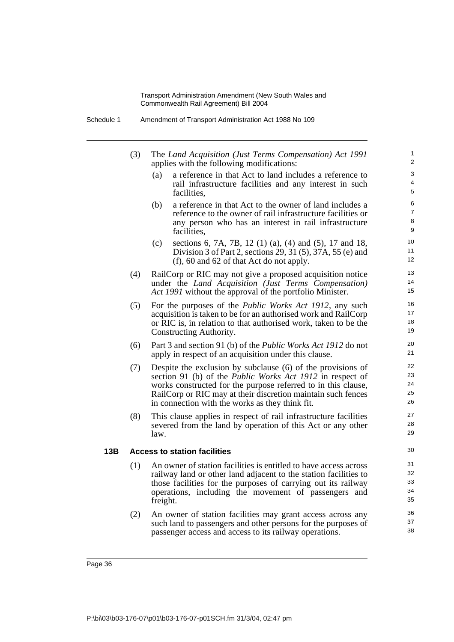| (3) | The Land Acquisition (Just Terms Compensation) Act 1991 |  |
|-----|---------------------------------------------------------|--|
|     | applies with the following modifications:               |  |
|     |                                                         |  |

(a) a reference in that Act to land includes a reference to rail infrastructure facilities and any interest in such facilities,

- (b) a reference in that Act to the owner of land includes a reference to the owner of rail infrastructure facilities or any person who has an interest in rail infrastructure facilities,
- (c) sections 6, 7A, 7B, 12 (1) (a), (4) and (5), 17 and 18, Division 3 of Part 2, sections 29, 31 (5), 37A, 55 (e) and (f), 60 and 62 of that Act do not apply.
- (4) RailCorp or RIC may not give a proposed acquisition notice under the *Land Acquisition (Just Terms Compensation) Act 1991* without the approval of the portfolio Minister.
- (5) For the purposes of the *Public Works Act 1912*, any such acquisition is taken to be for an authorised work and RailCorp or RIC is, in relation to that authorised work, taken to be the Constructing Authority.
- (6) Part 3 and section 91 (b) of the *Public Works Act 1912* do not apply in respect of an acquisition under this clause.
- (7) Despite the exclusion by subclause (6) of the provisions of section 91 (b) of the *Public Works Act 1912* in respect of works constructed for the purpose referred to in this clause, RailCorp or RIC may at their discretion maintain such fences in connection with the works as they think fit.
- (8) This clause applies in respect of rail infrastructure facilities severed from the land by operation of this Act or any other law.

#### **13B Access to station facilities**

- (1) An owner of station facilities is entitled to have access across railway land or other land adjacent to the station facilities to those facilities for the purposes of carrying out its railway operations, including the movement of passengers and freight.
- (2) An owner of station facilities may grant access across any such land to passengers and other persons for the purposes of passenger access and access to its railway operations.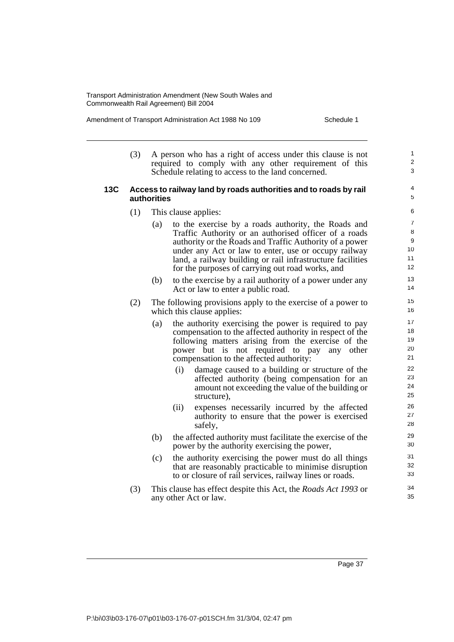Amendment of Transport Administration Act 1988 No 109 Schedule 1

(3) A person who has a right of access under this clause is not required to comply with any other requirement of this Schedule relating to access to the land concerned.

#### **13C Access to railway land by roads authorities and to roads by rail authorities**

1  $\overline{2}$ 3

- (1) This clause applies:
	- (a) to the exercise by a roads authority, the Roads and Traffic Authority or an authorised officer of a roads authority or the Roads and Traffic Authority of a power under any Act or law to enter, use or occupy railway land, a railway building or rail infrastructure facilities for the purposes of carrying out road works, and
	- (b) to the exercise by a rail authority of a power under any Act or law to enter a public road.
- (2) The following provisions apply to the exercise of a power to which this clause applies:
	- (a) the authority exercising the power is required to pay compensation to the affected authority in respect of the following matters arising from the exercise of the power but is not required to pay any other compensation to the affected authority:
		- (i) damage caused to a building or structure of the affected authority (being compensation for an amount not exceeding the value of the building or structure),
		- (ii) expenses necessarily incurred by the affected authority to ensure that the power is exercised safely,
	- (b) the affected authority must facilitate the exercise of the power by the authority exercising the power,
	- (c) the authority exercising the power must do all things that are reasonably practicable to minimise disruption to or closure of rail services, railway lines or roads.
- (3) This clause has effect despite this Act, the *Roads Act 1993* or any other Act or law.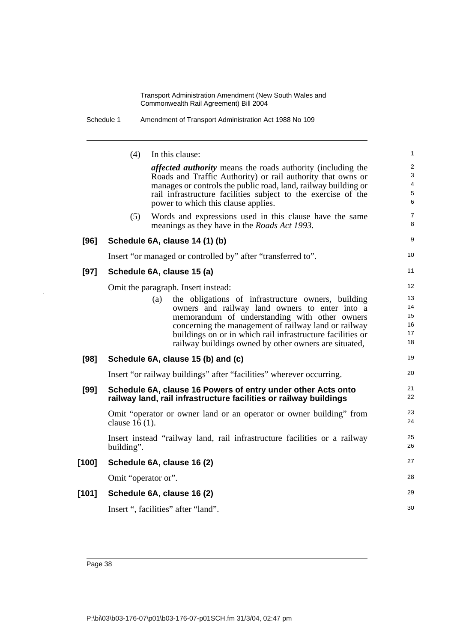Schedule 1 Amendment of Transport Administration Act 1988 No 109

|         | (4)                                                                                                                               | In this clause:                                                                                                    | $\mathbf{1}$     |
|---------|-----------------------------------------------------------------------------------------------------------------------------------|--------------------------------------------------------------------------------------------------------------------|------------------|
|         |                                                                                                                                   | <i>affected authority</i> means the roads authority (including the                                                 | $\overline{2}$   |
|         |                                                                                                                                   | Roads and Traffic Authority) or rail authority that owns or                                                        | 3                |
|         |                                                                                                                                   | manages or controls the public road, land, railway building or                                                     | $\overline{4}$   |
|         |                                                                                                                                   | rail infrastructure facilities subject to the exercise of the<br>power to which this clause applies.               | $\mathbf 5$<br>6 |
|         | (5)                                                                                                                               | Words and expressions used in this clause have the same<br>meanings as they have in the <i>Roads Act 1993</i> .    | 7<br>8           |
| $[96]$  |                                                                                                                                   | Schedule 6A, clause 14 (1) (b)                                                                                     | 9                |
|         |                                                                                                                                   | Insert "or managed or controlled by" after "transferred to".                                                       | 10               |
| [97]    |                                                                                                                                   | Schedule 6A, clause 15 (a)                                                                                         | 11               |
|         |                                                                                                                                   | Omit the paragraph. Insert instead:                                                                                | 12               |
|         |                                                                                                                                   | the obligations of infrastructure owners, building<br>(a)                                                          | 13               |
|         |                                                                                                                                   | owners and railway land owners to enter into a                                                                     | 14               |
|         |                                                                                                                                   | memorandum of understanding with other owners                                                                      | 15<br>16         |
|         |                                                                                                                                   | concerning the management of railway land or railway<br>buildings on or in which rail infrastructure facilities or | 17               |
|         |                                                                                                                                   | railway buildings owned by other owners are situated,                                                              | 18               |
| $[98]$  |                                                                                                                                   | Schedule 6A, clause 15 (b) and (c)                                                                                 | 19               |
|         |                                                                                                                                   | Insert "or railway buildings" after "facilities" wherever occurring.                                               | 20               |
| [99]    | Schedule 6A, clause 16 Powers of entry under other Acts onto<br>railway land, rail infrastructure facilities or railway buildings |                                                                                                                    |                  |
|         |                                                                                                                                   |                                                                                                                    |                  |
|         |                                                                                                                                   | Omit "operator or owner land or an operator or owner building" from                                                | 23               |
|         | clause 16 (1).                                                                                                                    |                                                                                                                    | 24               |
|         |                                                                                                                                   | Insert instead "railway land, rail infrastructure facilities or a railway                                          | 25<br>26         |
|         | building".                                                                                                                        |                                                                                                                    |                  |
| [100]   |                                                                                                                                   | Schedule 6A, clause 16 (2)                                                                                         | 27               |
|         | Omit "operator or".                                                                                                               |                                                                                                                    | 28               |
| $[101]$ |                                                                                                                                   | Schedule 6A, clause 16 (2)                                                                                         | 29               |
|         |                                                                                                                                   | Insert ", facilities" after "land".                                                                                | 30               |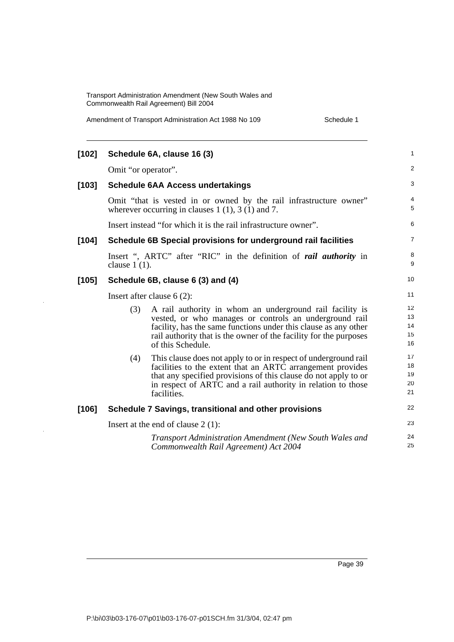Amendment of Transport Administration Act 1988 No 109 Schedule 1

| $[102]$ | Schedule 6A, clause 16 (3)                                                                                                                                                                                                                                                             | 1                          |  |
|---------|----------------------------------------------------------------------------------------------------------------------------------------------------------------------------------------------------------------------------------------------------------------------------------------|----------------------------|--|
|         | Omit "or operator".                                                                                                                                                                                                                                                                    | $\overline{c}$             |  |
| $[103]$ | <b>Schedule 6AA Access undertakings</b>                                                                                                                                                                                                                                                | 3                          |  |
|         | Omit "that is vested in or owned by the rail infrastructure owner"<br>wherever occurring in clauses $1(1)$ , $3(1)$ and 7.                                                                                                                                                             | 4<br>5                     |  |
|         | Insert instead "for which it is the rail infrastructure owner".                                                                                                                                                                                                                        | 6                          |  |
| $[104]$ | Schedule 6B Special provisions for underground rail facilities                                                                                                                                                                                                                         | 7                          |  |
|         | Insert ", ARTC" after "RIC" in the definition of <i>rail authority</i> in<br>clause $1(1)$ .                                                                                                                                                                                           | 8<br>9                     |  |
| $[105]$ | Schedule 6B, clause 6 (3) and (4)                                                                                                                                                                                                                                                      | 10                         |  |
|         | Insert after clause $6(2)$ :                                                                                                                                                                                                                                                           |                            |  |
|         | (3)<br>A rail authority in whom an underground rail facility is<br>vested, or who manages or controls an underground rail<br>facility, has the same functions under this clause as any other<br>rail authority that is the owner of the facility for the purposes<br>of this Schedule. | 12<br>13<br>14<br>15<br>16 |  |
|         | This clause does not apply to or in respect of underground rail<br>(4)<br>facilities to the extent that an ARTC arrangement provides<br>that any specified provisions of this clause do not apply to or<br>in respect of ARTC and a rail authority in relation to those<br>facilities. | 17<br>18<br>19<br>20<br>21 |  |
| $[106]$ | Schedule 7 Savings, transitional and other provisions                                                                                                                                                                                                                                  | 22                         |  |
|         | Insert at the end of clause $2(1)$ :                                                                                                                                                                                                                                                   |                            |  |
|         | Transport Administration Amendment (New South Wales and<br>Commonwealth Rail Agreement) Act 2004                                                                                                                                                                                       | 24<br>25                   |  |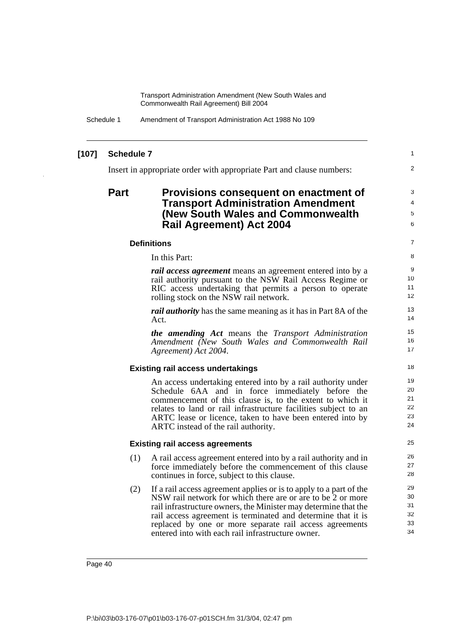| Schedule 1 | Amendment of Transport Administration Act 1988 No 109 |
|------------|-------------------------------------------------------|
|------------|-------------------------------------------------------|

#### **[107] Schedule 7** Insert in appropriate order with appropriate Part and clause numbers: **Part Provisions consequent on enactment of Transport Administration Amendment (New South Wales and Commonwealth Rail Agreement) Act 2004 Definitions** In this Part: *rail access agreement* means an agreement entered into by a rail authority pursuant to the NSW Rail Access Regime or RIC access undertaking that permits a person to operate rolling stock on the NSW rail network. *rail authority* has the same meaning as it has in Part 8A of the Act. *the amending Act* means the *Transport Administration Amendment (New South Wales and Commonwealth Rail Agreement) Act 2004*. **Existing rail access undertakings** An access undertaking entered into by a rail authority under Schedule 6AA and in force immediately before the commencement of this clause is, to the extent to which it relates to land or rail infrastructure facilities subject to an ARTC lease or licence, taken to have been entered into by ARTC instead of the rail authority. **Existing rail access agreements** (1) A rail access agreement entered into by a rail authority and in force immediately before the commencement of this clause continues in force, subject to this clause. (2) If a rail access agreement applies or is to apply to a part of the NSW rail network for which there are or are to be 2 or more rail infrastructure owners, the Minister may determine that the rail access agreement is terminated and determine that it is replaced by one or more separate rail access agreements entered into with each rail infrastructure owner. 1  $\overline{2}$ 3 4 5 6 7 8 9 10 11 12 13 14 15 16 17 18 19 20 21 22 23 24 25 26 27 28 29 30 31 32 33 34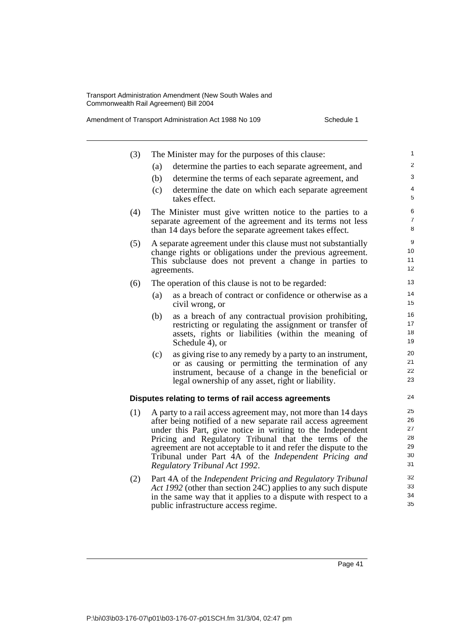Amendment of Transport Administration Act 1988 No 109 Schedule 1

|  | (3) |                                                                                                                     | The Minister may for the purposes of this clause:                                                                    | $\mathbf{1}$              |
|--|-----|---------------------------------------------------------------------------------------------------------------------|----------------------------------------------------------------------------------------------------------------------|---------------------------|
|  |     | (a)                                                                                                                 | determine the parties to each separate agreement, and                                                                | 2                         |
|  |     | (b)                                                                                                                 | determine the terms of each separate agreement, and                                                                  | $\ensuremath{\mathsf{3}}$ |
|  |     | (c)                                                                                                                 | determine the date on which each separate agreement                                                                  | $\overline{\mathbf{4}}$   |
|  |     |                                                                                                                     | takes effect.                                                                                                        | 5                         |
|  | (4) |                                                                                                                     | The Minister must give written notice to the parties to a                                                            | 6                         |
|  |     |                                                                                                                     | separate agreement of the agreement and its terms not less                                                           | $\overline{7}$            |
|  |     |                                                                                                                     | than 14 days before the separate agreement takes effect.                                                             | 8                         |
|  | (5) |                                                                                                                     | A separate agreement under this clause must not substantially                                                        | 9                         |
|  |     |                                                                                                                     | change rights or obligations under the previous agreement.<br>This subclause does not prevent a change in parties to | 10<br>11                  |
|  |     |                                                                                                                     | agreements.                                                                                                          | 12                        |
|  | (6) | The operation of this clause is not to be regarded:                                                                 |                                                                                                                      |                           |
|  |     | (a)                                                                                                                 | as a breach of contract or confidence or otherwise as a                                                              | 14                        |
|  |     |                                                                                                                     | civil wrong, or                                                                                                      | 15                        |
|  |     | (b)                                                                                                                 | as a breach of any contractual provision prohibiting,                                                                | 16                        |
|  |     |                                                                                                                     | restricting or regulating the assignment or transfer of                                                              | 17                        |
|  |     |                                                                                                                     | assets, rights or liabilities (within the meaning of<br>Schedule 4), or                                              | 18<br>19                  |
|  |     | (c)                                                                                                                 | as giving rise to any remedy by a party to an instrument,                                                            | 20                        |
|  |     |                                                                                                                     | or as causing or permitting the termination of any                                                                   | 21                        |
|  |     |                                                                                                                     | instrument, because of a change in the beneficial or                                                                 | 22                        |
|  |     |                                                                                                                     | legal ownership of any asset, right or liability.                                                                    | 23                        |
|  |     |                                                                                                                     | Disputes relating to terms of rail access agreements                                                                 | 24                        |
|  | (1) |                                                                                                                     | A party to a rail access agreement may, not more than 14 days                                                        | 25                        |
|  |     |                                                                                                                     | after being notified of a new separate rail access agreement                                                         | 26<br>27                  |
|  |     | under this Part, give notice in writing to the Independent<br>Pricing and Regulatory Tribunal that the terms of the |                                                                                                                      |                           |
|  |     |                                                                                                                     | agreement are not acceptable to it and refer the dispute to the                                                      | 28<br>29                  |
|  |     |                                                                                                                     | Tribunal under Part 4A of the <i>Independent Pricing and</i>                                                         | 30                        |
|  |     |                                                                                                                     | Regulatory Tribunal Act 1992.                                                                                        | 31                        |
|  | (2) |                                                                                                                     | Part 4A of the Independent Pricing and Regulatory Tribunal                                                           | 32                        |
|  |     |                                                                                                                     | Act 1992 (other than section 24C) applies to any such dispute                                                        | 33                        |
|  |     |                                                                                                                     | in the same way that it applies to a dispute with respect to a                                                       | 34                        |

Page 41

35

public infrastructure access regime.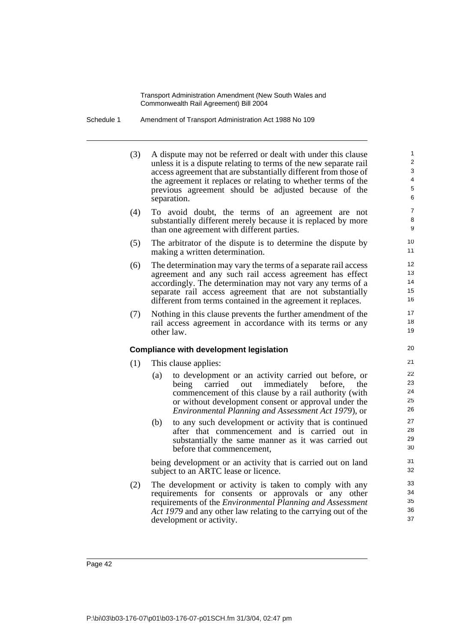Schedule 1 Amendment of Transport Administration Act 1988 No 109

(3) A dispute may not be referred or dealt with under this clause unless it is a dispute relating to terms of the new separate rail access agreement that are substantially different from those of the agreement it replaces or relating to whether terms of the previous agreement should be adjusted because of the separation.

- (4) To avoid doubt, the terms of an agreement are not substantially different merely because it is replaced by more than one agreement with different parties.
- (5) The arbitrator of the dispute is to determine the dispute by making a written determination.
- (6) The determination may vary the terms of a separate rail access agreement and any such rail access agreement has effect accordingly. The determination may not vary any terms of a separate rail access agreement that are not substantially different from terms contained in the agreement it replaces.
- (7) Nothing in this clause prevents the further amendment of the rail access agreement in accordance with its terms or any other law.

#### **Compliance with development legislation**

- (1) This clause applies:
	- (a) to development or an activity carried out before, or being carried out immediately before, the commencement of this clause by a rail authority (with or without development consent or approval under the *Environmental Planning and Assessment Act 1979*), or
	- (b) to any such development or activity that is continued after that commencement and is carried out in substantially the same manner as it was carried out before that commencement,

being development or an activity that is carried out on land subject to an ARTC lease or licence.

(2) The development or activity is taken to comply with any requirements for consents or approvals or any other requirements of the *Environmental Planning and Assessment Act 1979* and any other law relating to the carrying out of the development or activity.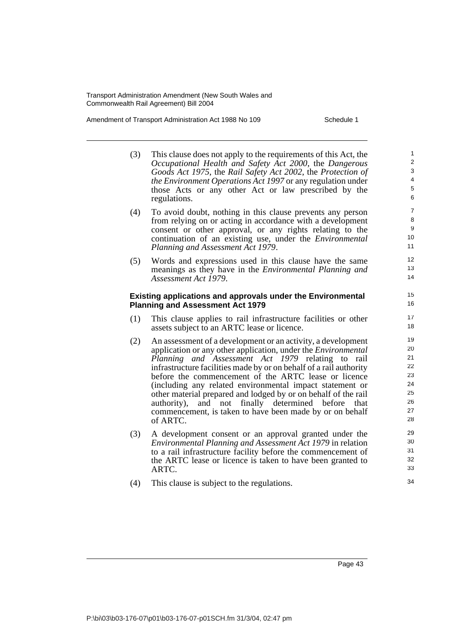Amendment of Transport Administration Act 1988 No 109 Schedule 1

- (3) This clause does not apply to the requirements of this Act, the *Occupational Health and Safety Act 2000*, the *Dangerous Goods Act 1975*, the *Rail Safety Act 2002*, the *Protection of the Environment Operations Act 1997* or any regulation under those Acts or any other Act or law prescribed by the regulations.
- (4) To avoid doubt, nothing in this clause prevents any person from relying on or acting in accordance with a development consent or other approval, or any rights relating to the continuation of an existing use, under the *Environmental Planning and Assessment Act 1979*.
- (5) Words and expressions used in this clause have the same meanings as they have in the *Environmental Planning and Assessment Act 1979*.

#### **Existing applications and approvals under the Environmental Planning and Assessment Act 1979**

- (1) This clause applies to rail infrastructure facilities or other assets subject to an ARTC lease or licence.
- (2) An assessment of a development or an activity, a development application or any other application, under the *Environmental Planning and Assessment Act 1979* relating to rail infrastructure facilities made by or on behalf of a rail authority before the commencement of the ARTC lease or licence (including any related environmental impact statement or other material prepared and lodged by or on behalf of the rail authority), and not finally determined before that commencement, is taken to have been made by or on behalf of ARTC.
- (3) A development consent or an approval granted under the *Environmental Planning and Assessment Act 1979* in relation to a rail infrastructure facility before the commencement of the ARTC lease or licence is taken to have been granted to ARTC.
- (4) This clause is subject to the regulations.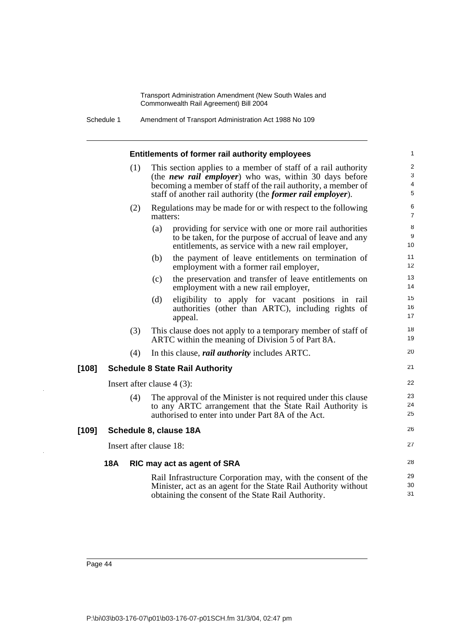1

Schedule 1 Amendment of Transport Administration Act 1988 No 109

#### **Entitlements of former rail authority employees**

|         |            | (1) | This section applies to a member of staff of a rail authority<br>(the <i>new rail employer</i> ) who was, within 30 days before<br>becoming a member of staff of the rail authority, a member of<br>staff of another rail authority (the <i>former rail employer</i> ). | $\overline{2}$<br>3<br>4<br>5 |
|---------|------------|-----|-------------------------------------------------------------------------------------------------------------------------------------------------------------------------------------------------------------------------------------------------------------------------|-------------------------------|
|         |            | (2) | Regulations may be made for or with respect to the following<br>matters:                                                                                                                                                                                                | 6<br>$\overline{7}$           |
|         |            |     | providing for service with one or more rail authorities<br>(a)<br>to be taken, for the purpose of accrual of leave and any<br>entitlements, as service with a new rail employer,                                                                                        | 8<br>9<br>10                  |
|         |            |     | the payment of leave entitlements on termination of<br>(b)<br>employment with a former rail employer,                                                                                                                                                                   | 11<br>12                      |
|         |            |     | the preservation and transfer of leave entitlements on<br>(c)<br>employment with a new rail employer,                                                                                                                                                                   | 13<br>14                      |
|         |            |     | (d)<br>eligibility to apply for vacant positions in rail<br>authorities (other than ARTC), including rights of<br>appeal.                                                                                                                                               | 15<br>16<br>17                |
|         |            | (3) | This clause does not apply to a temporary member of staff of<br>ARTC within the meaning of Division 5 of Part 8A.                                                                                                                                                       | 18<br>19                      |
|         |            | (4) | In this clause, <i>rail authority</i> includes ARTC.                                                                                                                                                                                                                    | 20                            |
| $[108]$ |            |     | <b>Schedule 8 State Rail Authority</b>                                                                                                                                                                                                                                  | 21                            |
|         |            |     | Insert after clause $4(3)$ :                                                                                                                                                                                                                                            | 22                            |
|         |            | (4) | The approval of the Minister is not required under this clause<br>to any ARTC arrangement that the State Rail Authority is<br>authorised to enter into under Part 8A of the Act.                                                                                        | 23<br>24<br>25                |
| $[109]$ |            |     | Schedule 8, clause 18A                                                                                                                                                                                                                                                  | 26                            |
|         |            |     | Insert after clause 18:                                                                                                                                                                                                                                                 | 27                            |
|         | <b>18A</b> |     | RIC may act as agent of SRA                                                                                                                                                                                                                                             | 28                            |
|         |            |     | Rail Infrastructure Corporation may, with the consent of the<br>Minister, act as an agent for the State Rail Authority without<br>obtaining the consent of the State Rail Authority.                                                                                    | 29<br>30<br>31                |